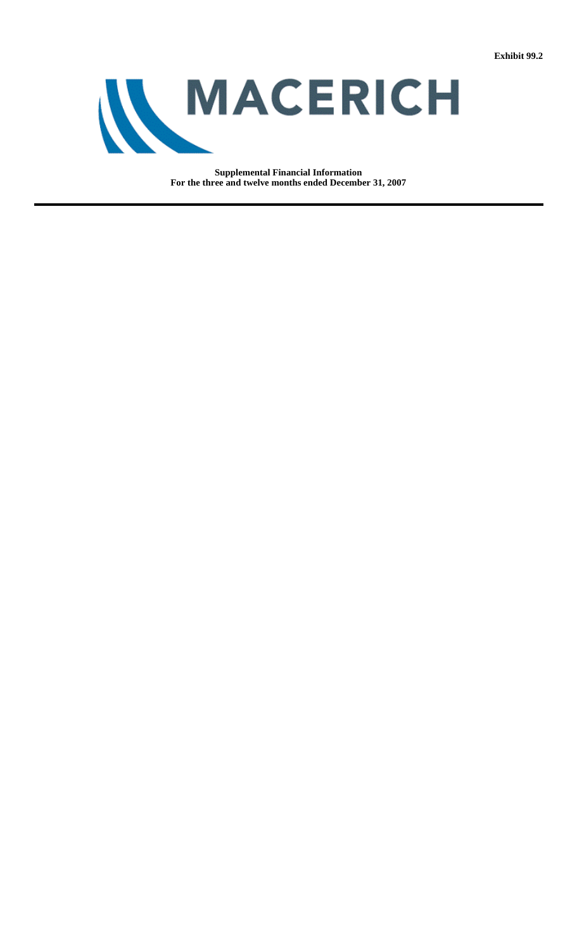

**Supplemental Financial Information For the three and twelve months ended December 31, 2007**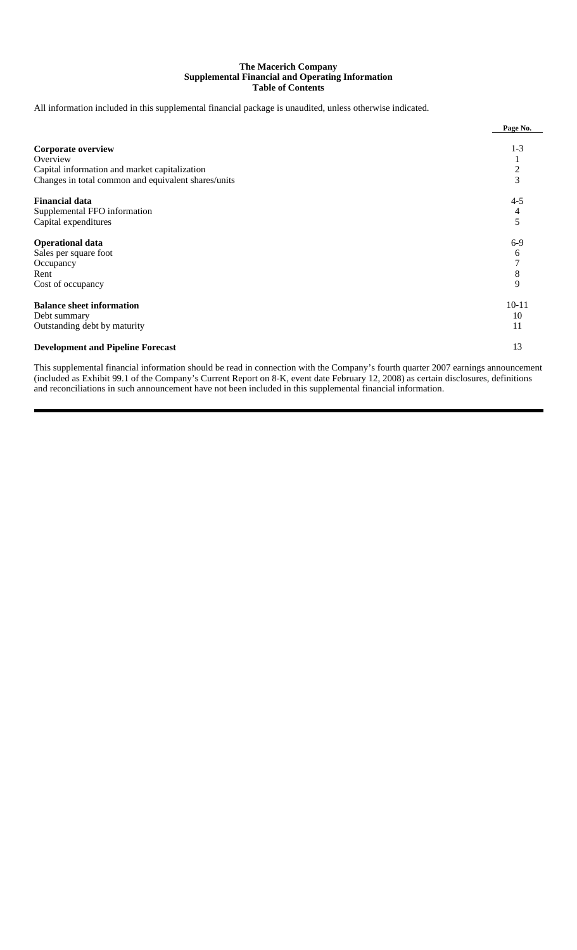### **The Macerich Company Supplemental Financial and Operating Information Table of Contents**

All information included in this supplemental financial package is unaudited, unless otherwise indicated.

|                                                     | Page No.      |
|-----------------------------------------------------|---------------|
|                                                     |               |
| <b>Corporate overview</b>                           | $1 - 3$       |
| Overview                                            |               |
| Capital information and market capitalization       | $\frac{2}{3}$ |
| Changes in total common and equivalent shares/units |               |
| <b>Financial data</b>                               | $4 - 5$       |
| Supplemental FFO information                        | 4             |
| Capital expenditures                                | 5             |
| <b>Operational data</b>                             | $6-9$         |
| Sales per square foot                               | 6             |
| Occupancy                                           | 7             |
| Rent                                                | 8             |
| Cost of occupancy                                   | 9             |
| <b>Balance sheet information</b>                    | $10 - 11$     |
| Debt summary                                        | 10            |
| Outstanding debt by maturity                        | 11            |
| <b>Development and Pipeline Forecast</b>            | 13            |

This supplemental financial information should be read in connection with the Company's fourth quarter 2007 earnings announcement (included as Exhibit 99.1 of the Company's Current Report on 8-K, event date February 12, 2008) as certain disclosures, definitions and reconciliations in such announcement have not been included in this supplemental financial information.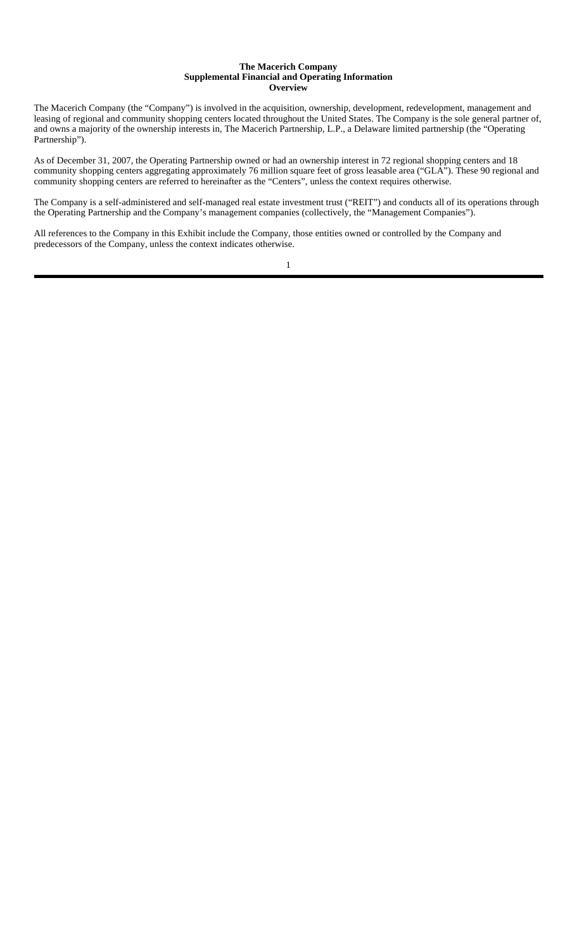#### **The Macerich Company Supplemental Financial and Operating Information Overview**

The Macerich Company (the "Company") is involved in the acquisition, ownership, development, redevelopment, management and leasing of regional and community shopping centers located throughout the United States. The Company is the sole general partner of, and owns a majority of the ownership interests in, The Macerich Partnership, L.P., a Delaware limited partnership (the "Operating Partnership").

As of December 31, 2007, the Operating Partnership owned or had an ownership interest in 72 regional shopping centers and 18 community shopping centers aggregating approximately 76 million square feet of gross leasable area ("GLA"). These 90 regional and community shopping centers are referred to hereinafter as the "Centers", unless the context requires otherwise.

The Company is a self-administered and self-managed real estate investment trust ("REIT") and conducts all of its operations through the Operating Partnership and the Company's management companies (collectively, the "Management Companies").

All references to the Company in this Exhibit include the Company, those entities owned or controlled by the Company and predecessors of the Company, unless the context indicates otherwise.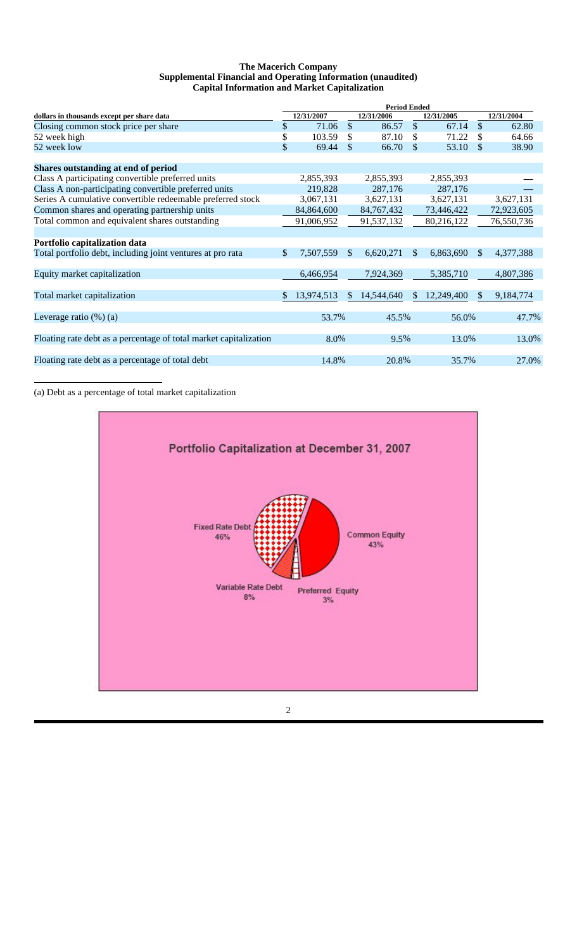### **The Macerich Company Supplemental Financial and Operating Information (unaudited) Capital Information and Market Capitalization**

|                                                                   | <b>Period Ended</b> |            |              |              |               |            |               |            |
|-------------------------------------------------------------------|---------------------|------------|--------------|--------------|---------------|------------|---------------|------------|
| dollars in thousands except per share data                        |                     | 12/31/2007 |              | 12/31/2006   |               | 12/31/2005 |               | 12/31/2004 |
| Closing common stock price per share                              | \$                  | 71.06      | \$           | 86.57        | $\mathcal{S}$ | 67.14      | $\mathcal{S}$ | 62.80      |
| 52 week high                                                      | \$                  | 103.59     | \$           | 87.10        | \$            | 71.22      |               | 64.66      |
| 52 week low                                                       | \$                  | 69.44      | \$           | 66.70        | \$            | 53.10      | \$            | 38.90      |
| Shares outstanding at end of period                               |                     |            |              |              |               |            |               |            |
| Class A participating convertible preferred units                 |                     | 2,855,393  |              | 2,855,393    |               | 2,855,393  |               |            |
| Class A non-participating convertible preferred units             |                     | 219,828    |              | 287,176      |               | 287,176    |               |            |
| Series A cumulative convertible redeemable preferred stock        |                     | 3,067,131  |              | 3,627,131    |               | 3,627,131  |               | 3,627,131  |
| Common shares and operating partnership units                     |                     | 84,864,600 |              | 84, 767, 432 |               | 73,446,422 |               | 72,923,605 |
| Total common and equivalent shares outstanding                    |                     | 91,006,952 |              | 91,537,132   |               | 80,216,122 |               | 76,550,736 |
| Portfolio capitalization data                                     |                     |            |              |              |               |            |               |            |
| Total portfolio debt, including joint ventures at pro rata        | \$                  | 7,507,559  | $\mathbb{S}$ | 6,620,271    | $\mathbb{S}$  | 6,863,690  | <sup>\$</sup> | 4,377,388  |
| Equity market capitalization                                      |                     | 6,466,954  |              | 7,924,369    |               | 5,385,710  |               | 4,807,386  |
| Total market capitalization                                       | \$.                 | 13,974,513 | \$.          | 14,544,640   | \$.           | 12,249,400 | \$.           | 9,184,774  |
| Leverage ratio $(\%)$ (a)                                         |                     | 53.7%      |              | 45.5%        |               | 56.0%      |               | 47.7%      |
| Floating rate debt as a percentage of total market capitalization |                     | 8.0%       |              | 9.5%         |               | 13.0%      |               | 13.0%      |
|                                                                   |                     |            |              |              |               |            |               |            |
| Floating rate debt as a percentage of total debt                  |                     | 14.8%      |              | 20.8%        |               | 35.7%      |               | 27.0%      |

(a) Debt as a percentage of total market capitalization

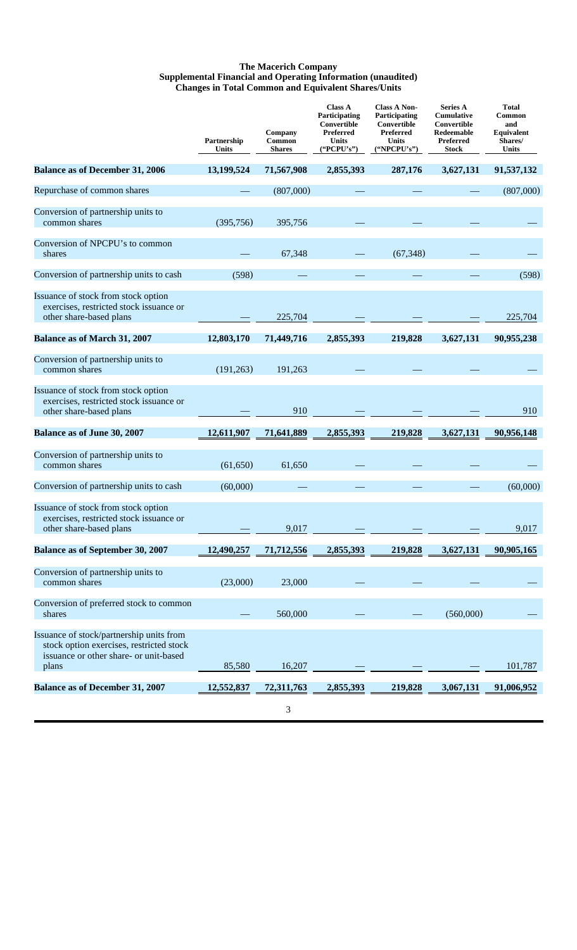### **The Macerich Company Supplemental Financial and Operating Information (unaudited) Changes in Total Common and Equivalent Shares/Units**

|                                                                                                                                         | Partnership<br>Units | Company<br>Common<br><b>Shares</b> | <b>Class A</b><br>Participating<br>Convertible<br>Preferred<br><b>Units</b><br>("PCPU's") | <b>Class A Non-</b><br>Participating<br>Convertible<br>Preferred<br><b>Units</b><br>("NPCPU's") | <b>Series A</b><br><b>Cumulative</b><br>Convertible<br>Redeemable<br>Preferred<br>Stock | <b>Total</b><br>Common<br>and<br>Equivalent<br>Shares/<br>Units |
|-----------------------------------------------------------------------------------------------------------------------------------------|----------------------|------------------------------------|-------------------------------------------------------------------------------------------|-------------------------------------------------------------------------------------------------|-----------------------------------------------------------------------------------------|-----------------------------------------------------------------|
| <b>Balance as of December 31, 2006</b>                                                                                                  | 13,199,524           | 71,567,908                         | 2,855,393                                                                                 | 287,176                                                                                         | 3,627,131                                                                               | 91,537,132                                                      |
| Repurchase of common shares                                                                                                             |                      | (807,000)                          |                                                                                           |                                                                                                 |                                                                                         | (807,000)                                                       |
| Conversion of partnership units to<br>common shares                                                                                     | (395, 756)           | 395,756                            |                                                                                           |                                                                                                 |                                                                                         |                                                                 |
| Conversion of NPCPU's to common<br>shares                                                                                               |                      | 67,348                             |                                                                                           | (67, 348)                                                                                       |                                                                                         |                                                                 |
| Conversion of partnership units to cash                                                                                                 | (598)                |                                    |                                                                                           |                                                                                                 |                                                                                         | (598)                                                           |
| Issuance of stock from stock option<br>exercises, restricted stock issuance or<br>other share-based plans                               |                      | 225,704                            |                                                                                           |                                                                                                 |                                                                                         | 225,704                                                         |
| <b>Balance as of March 31, 2007</b>                                                                                                     | 12,803,170           | 71,449,716                         | 2,855,393                                                                                 | 219,828                                                                                         | 3,627,131                                                                               | 90,955,238                                                      |
| Conversion of partnership units to<br>common shares                                                                                     | (191, 263)           | 191,263                            |                                                                                           |                                                                                                 |                                                                                         |                                                                 |
| Issuance of stock from stock option<br>exercises, restricted stock issuance or<br>other share-based plans                               |                      | 910                                |                                                                                           |                                                                                                 |                                                                                         | 910                                                             |
| Balance as of June 30, 2007                                                                                                             | 12,611,907           | 71,641,889                         | 2,855,393                                                                                 | 219,828                                                                                         | 3,627,131                                                                               | 90,956,148                                                      |
| Conversion of partnership units to<br>common shares                                                                                     | (61, 650)            | 61,650                             |                                                                                           |                                                                                                 |                                                                                         |                                                                 |
| Conversion of partnership units to cash                                                                                                 | (60,000)             |                                    |                                                                                           |                                                                                                 |                                                                                         | (60,000)                                                        |
| Issuance of stock from stock option<br>exercises, restricted stock issuance or<br>other share-based plans                               |                      | 9,017                              |                                                                                           |                                                                                                 |                                                                                         | 9,017                                                           |
| <b>Balance as of September 30, 2007</b>                                                                                                 | 12,490,257           | 71,712,556                         | 2,855,393                                                                                 | 219,828                                                                                         | 3,627,131                                                                               | 90,905,165                                                      |
| Conversion of partnership units to<br>common shares                                                                                     | (23,000)             | 23,000                             |                                                                                           |                                                                                                 |                                                                                         |                                                                 |
| Conversion of preferred stock to common<br>shares                                                                                       |                      | 560,000                            |                                                                                           |                                                                                                 | (560,000)                                                                               |                                                                 |
| Issuance of stock/partnership units from<br>stock option exercises, restricted stock<br>issuance or other share- or unit-based<br>plans | 85,580               | 16,207                             |                                                                                           |                                                                                                 |                                                                                         | 101,787                                                         |
| <b>Balance as of December 31, 2007</b>                                                                                                  | 12,552,837           | 72,311,763                         | 2,855,393                                                                                 | 219,828                                                                                         | 3,067,131                                                                               | 91,006,952                                                      |
|                                                                                                                                         |                      | 3                                  |                                                                                           |                                                                                                 |                                                                                         |                                                                 |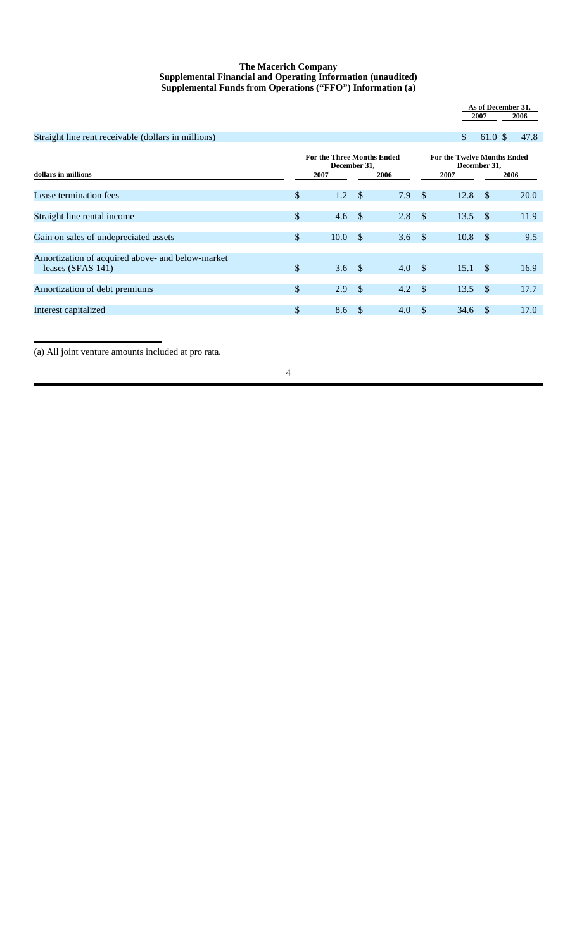### **The Macerich Company Supplemental Financial and Operating Information (unaudited) Supplemental Funds from Operations ("FFO") Information (a)**

|                                                                          |                                                           |               |      |               |                                                            | 2007          | As of December 31,<br>2006 |
|--------------------------------------------------------------------------|-----------------------------------------------------------|---------------|------|---------------|------------------------------------------------------------|---------------|----------------------------|
| Straight line rent receivable (dollars in millions)                      |                                                           |               |      |               | \$                                                         | 61.0 \$       | 47.8                       |
| dollars in millions                                                      | <b>For the Three Months Ended</b><br>December 31,<br>2007 |               | 2006 |               | <b>For the Twelve Months Ended</b><br>December 31,<br>2007 |               | 2006                       |
| Lease termination fees                                                   | \$<br>1.2                                                 | \$            | 7.9  | $\mathcal{S}$ | 12.8                                                       | $\mathcal{S}$ | 20.0                       |
| Straight line rental income                                              | \$<br>$4.6\quad$                                          |               | 2.8  | -\$           | $13.5$ \$                                                  |               | 11.9                       |
| Gain on sales of undepreciated assets                                    | \$<br>10.0                                                | <sup>\$</sup> | 3.6  | $\mathcal{S}$ | 10.8                                                       | $\mathcal{S}$ | 9.5                        |
| Amortization of acquired above- and below-market<br>leases (SFAS $141$ ) | \$<br>3.6 $\sqrt{ }$                                      |               | 4.0  | - \$          | $15.1 \text{ }$ \$                                         |               | 16.9                       |
| Amortization of debt premiums                                            | \$<br>2.9                                                 | - \$          | 4.2  | $\mathcal{S}$ | 13.5                                                       | - \$          | 17.7                       |
| Interest capitalized                                                     | \$<br>8.6                                                 | - \$          | 4.0  | <sup>\$</sup> | 34.6                                                       | -S            | 17.0                       |

(a) All joint venture amounts included at pro rata.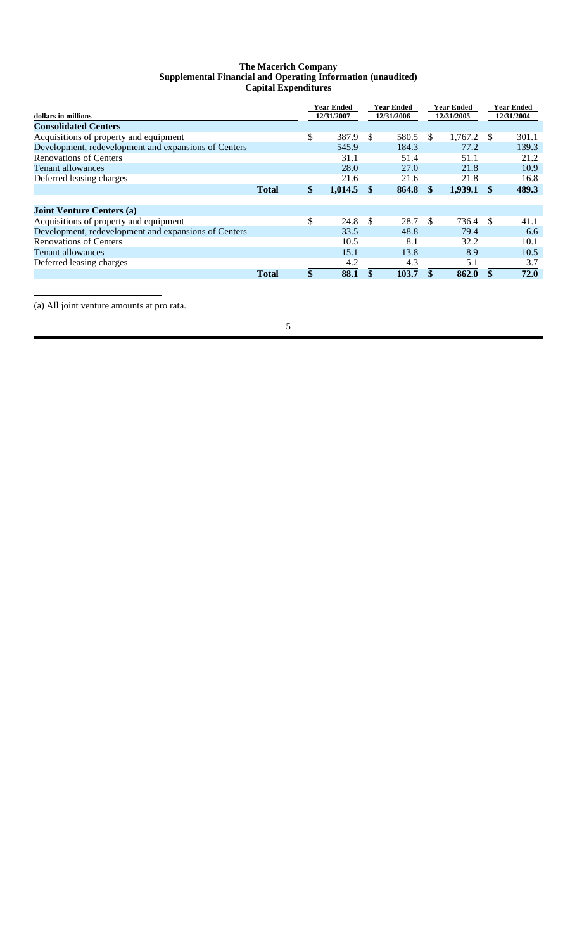### **The Macerich Company Supplemental Financial and Operating Information (unaudited) Capital Expenditures**

| dollars in millions                                  |              |               | <b>Year Ended</b><br>12/31/2007 |     | Year Ended<br>12/31/2006 |    | <b>Year Ended</b><br>12/31/2005 |     | Year Ended<br>12/31/2004 |
|------------------------------------------------------|--------------|---------------|---------------------------------|-----|--------------------------|----|---------------------------------|-----|--------------------------|
| <b>Consolidated Centers</b>                          |              |               |                                 |     |                          |    |                                 |     |                          |
| Acquisitions of property and equipment               |              | \$            | 387.9                           | \$. | 580.5                    | -S | 1,767.2                         | S   | 301.1                    |
| Development, redevelopment and expansions of Centers |              |               | 545.9                           |     | 184.3                    |    | 77.2                            |     | 139.3                    |
| <b>Renovations of Centers</b>                        |              |               | 31.1                            |     | 51.4                     |    | 51.1                            |     | 21.2                     |
| Tenant allowances                                    |              |               | 28.0                            |     | 27.0                     |    | 21.8                            |     | 10.9                     |
| Deferred leasing charges                             |              |               | 21.6                            |     | 21.6                     |    | 21.8                            |     | 16.8                     |
|                                                      | <b>Total</b> | $\mathbf{\$}$ | 1,014.5                         | \$. | 864.8                    | \$ | 1,939.1                         | \$  | 489.3                    |
|                                                      |              |               |                                 |     |                          |    |                                 |     |                          |
| <b>Joint Venture Centers (a)</b>                     |              |               |                                 |     |                          |    |                                 |     |                          |
| Acquisitions of property and equipment               |              | \$            | 24.8                            | -S  | 28.7                     | -S | 736.4                           | \$. | 41.1                     |
| Development, redevelopment and expansions of Centers |              |               | 33.5                            |     | 48.8                     |    | 79.4                            |     | 6.6                      |
| <b>Renovations of Centers</b>                        |              |               | 10.5                            |     | 8.1                      |    | 32.2                            |     | 10.1                     |
| <b>Tenant allowances</b>                             |              |               | 15.1                            |     | 13.8                     |    | 8.9                             |     | 10.5                     |
| Deferred leasing charges                             |              |               | 4.2                             |     | 4.3                      |    | 5.1                             |     | 3.7                      |
|                                                      | <b>Total</b> | \$            | 88.1                            | \$  | 103.7                    | \$ | 862.0                           | \$  | 72.0                     |

(a) All joint venture amounts at pro rata.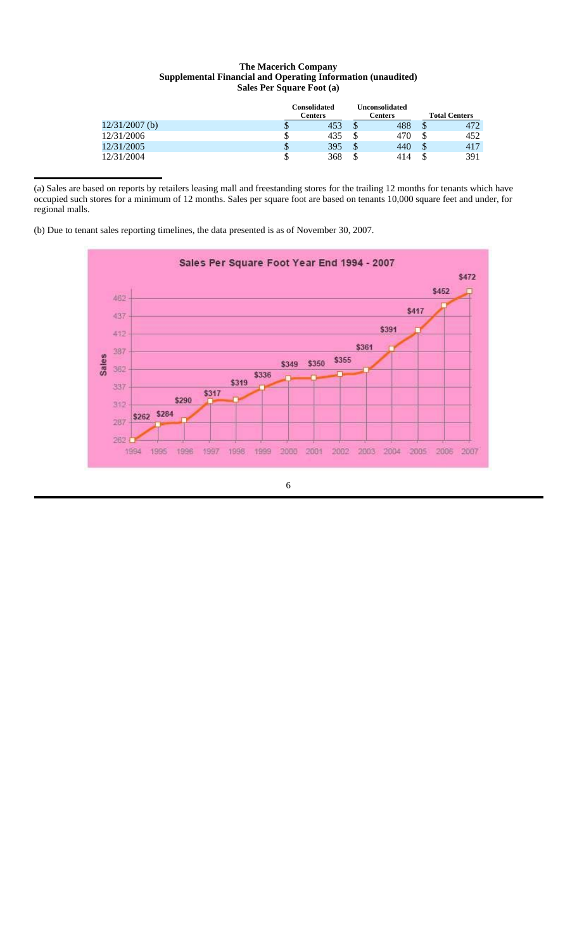### **The Macerich Company Supplemental Financial and Operating Information (unaudited) Sales Per Square Foot (a)**

|                  |        | Consolidated<br>Centers |        | Unconsolidated<br>Centers |   | <b>Total Centers</b> |
|------------------|--------|-------------------------|--------|---------------------------|---|----------------------|
| $12/31/2007$ (b) | D      | 453                     | Φ<br>Φ | 488                       |   | 472                  |
| 12/31/2006       | \$     | 435                     | \$     | 470                       |   | 452                  |
| 12/31/2005       | Φ<br>J | 395                     | \$     | 440                       | S | 417                  |
| 12/31/2004       | \$     | 368                     | \$     | 414                       |   | 391                  |

(a) Sales are based on reports by retailers leasing mall and freestanding stores for the trailing 12 months for tenants which have occupied such stores for a minimum of 12 months. Sales per square foot are based on tenants 10,000 square feet and under, for regional malls.

(b) Due to tenant sales reporting timelines, the data presented is as of November 30, 2007.

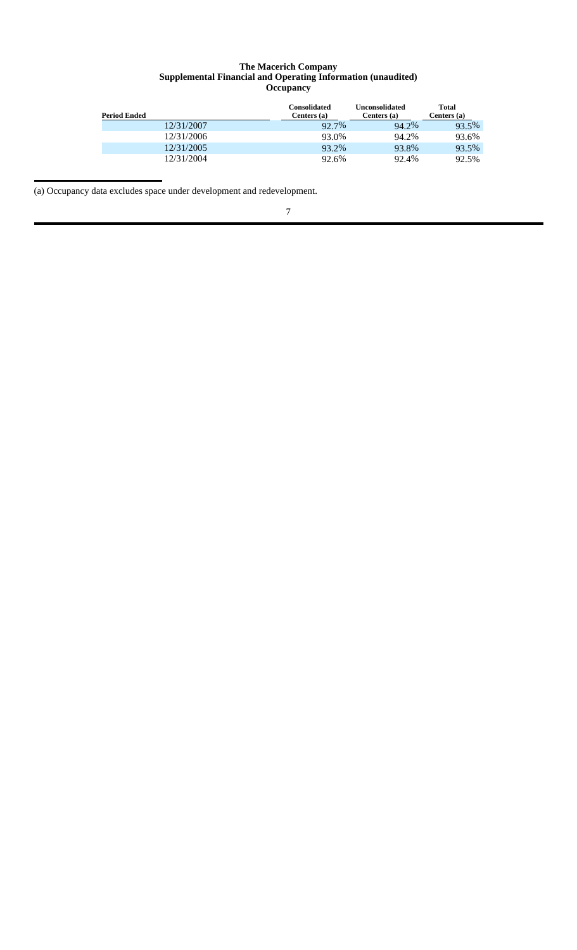### **The Macerich Company Supplemental Financial and Operating Information (unaudited) Occupancy**

| <b>Period Ended</b> | Consolidated<br>Centers $(a)$ | Unconsolidated<br>Centers (a) | Total<br>Centers (a) |
|---------------------|-------------------------------|-------------------------------|----------------------|
| 12/31/2007          | 92.7%                         | 94.2%                         | 93.5%                |
| 12/31/2006          | 93.0%                         | 94.2%                         | 93.6%                |
| 12/31/2005          | 93.2%                         | 93.8%                         | 93.5%                |
| 12/31/2004          | 92.6%                         | 92.4%                         | 92.5%                |

(a) Occupancy data excludes space under development and redevelopment.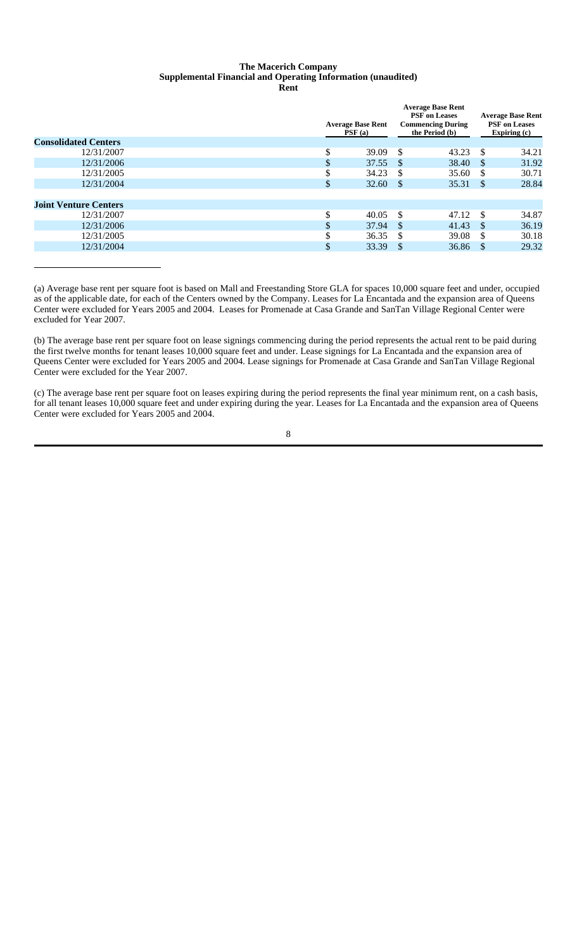# **The Macerich Company Supplemental Financial and Operating Information (unaudited)**

|                              |    | <b>Average Base Rent</b><br>PSF(a) |      | <b>Average Base Rent</b><br><b>PSF</b> on Leases<br><b>Commencing During</b><br>the Period (b) | <b>Average Base Rent</b><br><b>PSF</b> on Leases<br>Expiring (c) |       |
|------------------------------|----|------------------------------------|------|------------------------------------------------------------------------------------------------|------------------------------------------------------------------|-------|
| <b>Consolidated Centers</b>  |    |                                    |      |                                                                                                |                                                                  |       |
| 12/31/2007                   | \$ | 39.09                              | -S   | 43.23                                                                                          | - \$                                                             | 34.21 |
| 12/31/2006                   |    | 37.55                              | - S  | 38.40                                                                                          | <sup>\$</sup>                                                    | 31.92 |
| 12/31/2005                   | ъ  | 34.23                              | -8   | 35.60                                                                                          | -S                                                               | 30.71 |
| 12/31/2004                   | \$ | 32.60                              | - \$ | 35.31                                                                                          | <sup>\$</sup>                                                    | 28.84 |
| <b>Joint Venture Centers</b> |    |                                    |      |                                                                                                |                                                                  |       |
| 12/31/2007                   | \$ | 40.05                              | - \$ | 47.12                                                                                          | - \$                                                             | 34.87 |
| 12/31/2006                   |    | 37.94                              | -S   | 41.43                                                                                          | <sup>\$</sup>                                                    | 36.19 |
| 12/31/2005                   |    | 36.35                              | \$.  | 39.08                                                                                          | \$.                                                              | 30.18 |
| 12/31/2004                   | \$ | 33.39                              | -S   | 36.86                                                                                          | -S                                                               | 29.32 |
|                              |    |                                    |      |                                                                                                |                                                                  |       |

(a) Average base rent per square foot is based on Mall and Freestanding Store GLA for spaces 10,000 square feet and under, occupied as of the applicable date, for each of the Centers owned by the Company. Leases for La Encantada and the expansion area of Queens Center were excluded for Years 2005 and 2004. Leases for Promenade at Casa Grande and SanTan Village Regional Center were excluded for Year 2007.

(b) The average base rent per square foot on lease signings commencing during the period represents the actual rent to be paid during the first twelve months for tenant leases 10,000 square feet and under. Lease signings for La Encantada and the expansion area of Queens Center were excluded for Years 2005 and 2004. Lease signings for Promenade at Casa Grande and SanTan Village Regional Center were excluded for the Year 2007.

(c) The average base rent per square foot on leases expiring during the period represents the final year minimum rent, on a cash basis, for all tenant leases 10,000 square feet and under expiring during the year. Leases for La Encantada and the expansion area of Queens Center were excluded for Years 2005 and 2004.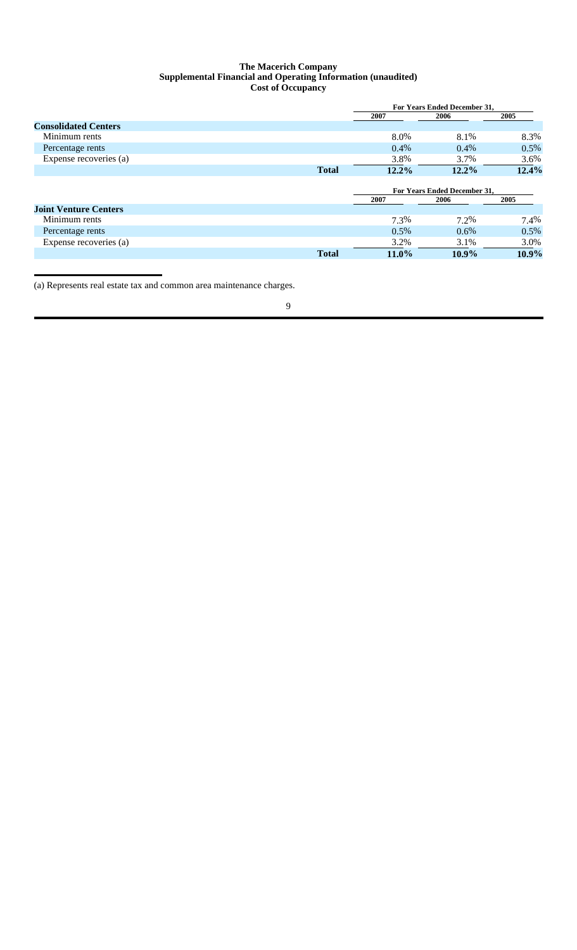### **The Macerich Company Supplemental Financial and Operating Information (unaudited) Cost of Occupancy**

|                              |              | <b>For Years Ended December 31.</b> |                                     |       |  |  |
|------------------------------|--------------|-------------------------------------|-------------------------------------|-------|--|--|
|                              |              | 2007                                | 2006                                | 2005  |  |  |
| <b>Consolidated Centers</b>  |              |                                     |                                     |       |  |  |
| Minimum rents                |              | 8.0%                                | 8.1%                                | 8.3%  |  |  |
| Percentage rents             |              | $0.4\%$                             | $0.4\%$                             | 0.5%  |  |  |
| Expense recoveries (a)       |              | 3.8%                                | 3.7%                                | 3.6%  |  |  |
|                              | <b>Total</b> | 12.2%                               | $12.2\%$                            | 12.4% |  |  |
|                              |              |                                     |                                     |       |  |  |
|                              |              |                                     | <b>For Years Ended December 31.</b> |       |  |  |
|                              |              | 2007                                | 2006                                | 2005  |  |  |
| <b>Joint Venture Centers</b> |              |                                     |                                     |       |  |  |
| Minimum rents                |              | 7.3%                                | 7.2%                                | 7.4%  |  |  |
| Percentage rents             |              | $0.5\%$                             | $0.6\%$                             | 0.5%  |  |  |
| Expense recoveries (a)       |              | 3.2%                                | 3.1%                                | 3.0%  |  |  |
|                              | <b>Total</b> | $11.0\%$                            | $10.9\%$                            | 10.9% |  |  |

(a) Represents real estate tax and common area maintenance charges.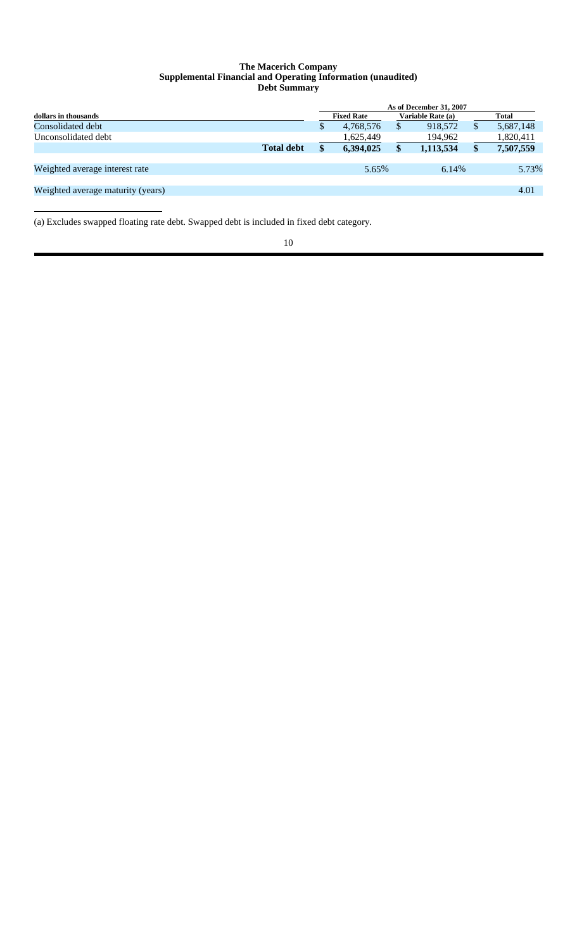### **The Macerich Company Supplemental Financial and Operating Information (unaudited) Debt Summary**

|                                   |                   | As of December 31, 2007 |                   |    |                   |  |              |  |
|-----------------------------------|-------------------|-------------------------|-------------------|----|-------------------|--|--------------|--|
| dollars in thousands              |                   |                         | <b>Fixed Rate</b> |    | Variable Rate (a) |  | <b>Total</b> |  |
| Consolidated debt                 |                   | S                       | 4,768,576         | S  | 918.572           |  | 5,687,148    |  |
| Unconsolidated debt               |                   |                         | 1,625,449         |    | 194,962           |  | 1,820,411    |  |
|                                   | <b>Total debt</b> | <b>S</b>                | 6,394,025         | \$ | 1,113,534         |  | 7,507,559    |  |
|                                   |                   |                         |                   |    |                   |  |              |  |
| Weighted average interest rate    |                   |                         | 5.65%             |    | 6.14%             |  | 5.73%        |  |
|                                   |                   |                         |                   |    |                   |  |              |  |
| Weighted average maturity (years) |                   |                         |                   |    |                   |  | 4.01         |  |
|                                   |                   |                         |                   |    |                   |  |              |  |

(a) Excludes swapped floating rate debt. Swapped debt is included in fixed debt category.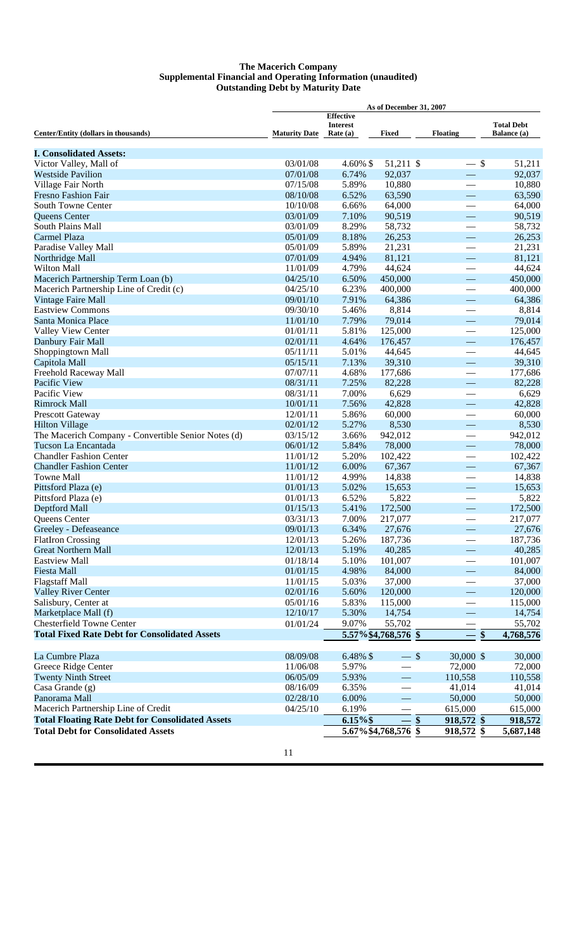### **The Macerich Company Supplemental Financial and Operating Information (unaudited) Outstanding Debt by Maturity Date**

| <b>Effective</b><br><b>Total Debt</b><br><b>Interest</b><br>Balance (a)<br>Center/Entity (dollars in thousands)<br><b>Maturity Date</b><br>Rate $(a)$<br>Fixed<br><b>Floating</b><br><b>I. Consolidated Assets:</b><br>Victor Valley, Mall of<br>03/01/08<br>$4.60\%$ \$<br>51,211 \$<br>$-$ \$<br>51,211<br>92,037<br>92,037<br><b>Westside Pavilion</b><br>07/01/08<br>6.74%<br>10,880<br>5.89%<br>10,880<br>Village Fair North<br>07/15/08<br>63,590<br>63,590<br><b>Fresno Fashion Fair</b><br>08/10/08<br>6.52%<br>$\overline{\phantom{0}}$<br><b>South Towne Center</b><br>10/10/08<br>6.66%<br>64,000<br>64,000<br>$\overline{\phantom{0}}$<br>Queens Center<br>03/01/09<br>7.10%<br>90,519<br>90,519<br>$\overline{\phantom{0}}$<br>South Plains Mall<br>03/01/09<br>8.29%<br>58,732<br>58,732<br>$\overline{\phantom{0}}$<br>Carmel Plaza<br>8.18%<br>26,253<br>26,253<br>05/01/09<br>$\overline{\phantom{0}}$<br>5.89%<br>21,231<br>Paradise Valley Mall<br>05/01/09<br>21,231<br>81,121<br>81,121<br>Northridge Mall<br>07/01/09<br>4.94%<br>$\overline{\phantom{0}}$<br>4.79%<br>44,624<br><b>Wilton Mall</b><br>11/01/09<br>44,624<br>$\overline{\phantom{0}}$<br>Macerich Partnership Term Loan (b)<br>04/25/10<br>6.50%<br>450,000<br>450,000<br>$\overline{\phantom{0}}$<br>6.23%<br>Macerich Partnership Line of Credit (c)<br>04/25/10<br>400,000<br>400,000<br>$\overline{\phantom{0}}$<br>7.91%<br>Vintage Faire Mall<br>09/01/10<br>64,386<br>64,386<br>$\overline{\phantom{0}}$<br>8,814<br><b>Eastview Commons</b><br>09/30/10<br>5.46%<br>8,814<br>$\overline{\phantom{0}}$<br>7.79%<br>79,014<br>79,014<br>Santa Monica Place<br>11/01/10<br>5.81%<br>125,000<br>125,000<br>01/01/11<br>Valley View Center<br>Danbury Fair Mall<br>02/01/11<br>4.64%<br>176,457<br>176,457<br>$\overline{\phantom{0}}$<br>Shoppingtown Mall<br>5.01%<br>44,645<br>44,645<br>05/11/11<br>Capitola Mall<br>7.13%<br>39,310<br>05/15/11<br>39,310<br>$\overline{\phantom{0}}$<br>07/07/11<br>4.68%<br>Freehold Raceway Mall<br>177,686<br>177,686<br>7.25%<br>82,228<br>Pacific View<br>08/31/11<br>82,228<br>$\overline{\phantom{0}}$<br>7.00%<br>6,629<br>6,629<br>Pacific View<br>08/31/11<br><b>Rimrock Mall</b><br>10/01/11<br>7.56%<br>42,828<br>42,828<br>$\overline{\phantom{0}}$<br>12/01/11<br>5.86%<br>60,000<br>60,000<br><b>Prescott Gateway</b><br>$\overline{\phantom{0}}$<br>5.27%<br>02/01/12<br>8,530<br>8,530<br><b>Hilton Village</b><br>$\overline{\phantom{0}}$<br>The Macerich Company - Convertible Senior Notes (d)<br>03/15/12<br>3.66%<br>942,012<br>942,012<br>78,000<br>Tucson La Encantada<br>06/01/12<br>5.84%<br>78,000<br>$\overline{\phantom{0}}$<br><b>Chandler Fashion Center</b><br>11/01/12<br>5.20%<br>102,422<br>102,422<br>$\overline{\phantom{0}}$<br>67,367<br><b>Chandler Fashion Center</b><br>11/01/12<br>6.00%<br>67,367<br>$\overline{\phantom{0}}$<br><b>Towne Mall</b><br>11/01/12<br>4.99%<br>14,838<br>14,838<br>$\overline{\phantom{0}}$<br>5.02%<br>Pittsford Plaza (e)<br>01/01/13<br>15,653<br>15,653<br>$\overline{\phantom{0}}$<br>6.52%<br>Pittsford Plaza (e)<br>01/01/13<br>5,822<br>5,822<br>$\overline{\phantom{0}}$<br>Deptford Mall<br>01/15/13<br>5.41%<br>172,500<br>172,500<br>7.00%<br>217,077<br><b>Oueens Center</b><br>03/31/13<br>217,077<br>Greeley - Defeaseance<br>09/01/13<br>6.34%<br>27,676<br>27,676<br>12/01/13<br>187,736<br><b>FlatIron Crossing</b><br>5.26%<br>187,736<br><b>Great Northern Mall</b><br>12/01/13<br>5.19%<br>40,285<br>40,285<br>$\overline{\phantom{0}}$<br><b>Eastview Mall</b><br>01/18/14<br>5.10%<br>101,007<br>101,007<br><b>Fiesta Mall</b><br>01/01/15<br>4.98%<br>84,000<br>84,000<br>$\overline{\phantom{0}}$<br><b>Flagstaff Mall</b><br>11/01/15<br>5.03%<br>37,000<br>37,000<br>02/01/16<br>120,000<br>120,000<br><b>Valley River Center</b><br>5.60%<br>$\overline{\phantom{0}}$<br>Salisbury, Center at<br>05/01/16<br>5.83%<br>115,000<br>115,000<br>Marketplace Mall (f)<br>12/10/17<br>5.30%<br>14,754<br>14,754<br><b>Chesterfield Towne Center</b><br>9.07%<br>55,702<br>01/01/24<br>55,702<br><b>Total Fixed Rate Debt for Consolidated Assets</b><br>5.57%\$4,768,576 \$<br>\$<br>4,768,576<br>$\overline{\phantom{0}}$<br>$-$ \$<br>La Cumbre Plaza<br>08/09/08<br>6.48% \$<br>30,000 \$<br>30,000<br>72,000<br>Greece Ridge Center<br>11/06/08<br>5.97%<br>72,000<br><b>Twenty Ninth Street</b><br>5.93%<br>110,558<br>06/05/09<br>110,558<br>$\overline{\phantom{0}}$<br>08/16/09<br>6.35%<br>41,014<br>Casa Grande $(g)$<br>41,014<br>50,000<br>Panorama Mall<br>02/28/10<br>6.00%<br>50,000<br>Macerich Partnership Line of Credit<br>04/25/10<br>6.19%<br>615,000<br>615,000<br><b>Total Floating Rate Debt for Consolidated Assets</b><br>\$<br>$6.15\%$ \$<br>918,572 \$<br>918,572<br><b>Total Debt for Consolidated Assets</b><br>5.67%\$4,768,576 \$<br>918,572 \$<br>5,687,148 |  | As of December 31, 2007 |  |  |
|-----------------------------------------------------------------------------------------------------------------------------------------------------------------------------------------------------------------------------------------------------------------------------------------------------------------------------------------------------------------------------------------------------------------------------------------------------------------------------------------------------------------------------------------------------------------------------------------------------------------------------------------------------------------------------------------------------------------------------------------------------------------------------------------------------------------------------------------------------------------------------------------------------------------------------------------------------------------------------------------------------------------------------------------------------------------------------------------------------------------------------------------------------------------------------------------------------------------------------------------------------------------------------------------------------------------------------------------------------------------------------------------------------------------------------------------------------------------------------------------------------------------------------------------------------------------------------------------------------------------------------------------------------------------------------------------------------------------------------------------------------------------------------------------------------------------------------------------------------------------------------------------------------------------------------------------------------------------------------------------------------------------------------------------------------------------------------------------------------------------------------------------------------------------------------------------------------------------------------------------------------------------------------------------------------------------------------------------------------------------------------------------------------------------------------------------------------------------------------------------------------------------------------------------------------------------------------------------------------------------------------------------------------------------------------------------------------------------------------------------------------------------------------------------------------------------------------------------------------------------------------------------------------------------------------------------------------------------------------------------------------------------------------------------------------------------------------------------------------------------------------------------------------------------------------------------------------------------------------------------------------------------------------------------------------------------------------------------------------------------------------------------------------------------------------------------------------------------------------------------------------------------------------------------------------------------------------------------------------------------------------------------------------------------------------------------------------------------------------------------------------------------------------------------------------------------------------------------------------------------------------------------------------------------------------------------------------------------------------------------------------------------------------------------------------------------------------------------------------------------------------------------------------------------------------------------------------------------------------------------------------------------------------------------------------------------------------------------------------------------------------------------------------------------------------------------------------------------------------------------------------------------------------------------------------------------------------------------------------------------------------------------------------------------------------------------------------------------------------------------------------------------------------------------------------------------------------------------------------------------------------------------------------------------------------|--|-------------------------|--|--|
|                                                                                                                                                                                                                                                                                                                                                                                                                                                                                                                                                                                                                                                                                                                                                                                                                                                                                                                                                                                                                                                                                                                                                                                                                                                                                                                                                                                                                                                                                                                                                                                                                                                                                                                                                                                                                                                                                                                                                                                                                                                                                                                                                                                                                                                                                                                                                                                                                                                                                                                                                                                                                                                                                                                                                                                                                                                                                                                                                                                                                                                                                                                                                                                                                                                                                                                                                                                                                                                                                                                                                                                                                                                                                                                                                                                                                                                                                                                                                                                                                                                                                                                                                                                                                                                                                                                                                                                                                                                                                                                                                                                                                                                                                                                                                                                                                                                                                                                             |  |                         |  |  |
|                                                                                                                                                                                                                                                                                                                                                                                                                                                                                                                                                                                                                                                                                                                                                                                                                                                                                                                                                                                                                                                                                                                                                                                                                                                                                                                                                                                                                                                                                                                                                                                                                                                                                                                                                                                                                                                                                                                                                                                                                                                                                                                                                                                                                                                                                                                                                                                                                                                                                                                                                                                                                                                                                                                                                                                                                                                                                                                                                                                                                                                                                                                                                                                                                                                                                                                                                                                                                                                                                                                                                                                                                                                                                                                                                                                                                                                                                                                                                                                                                                                                                                                                                                                                                                                                                                                                                                                                                                                                                                                                                                                                                                                                                                                                                                                                                                                                                                                             |  |                         |  |  |
|                                                                                                                                                                                                                                                                                                                                                                                                                                                                                                                                                                                                                                                                                                                                                                                                                                                                                                                                                                                                                                                                                                                                                                                                                                                                                                                                                                                                                                                                                                                                                                                                                                                                                                                                                                                                                                                                                                                                                                                                                                                                                                                                                                                                                                                                                                                                                                                                                                                                                                                                                                                                                                                                                                                                                                                                                                                                                                                                                                                                                                                                                                                                                                                                                                                                                                                                                                                                                                                                                                                                                                                                                                                                                                                                                                                                                                                                                                                                                                                                                                                                                                                                                                                                                                                                                                                                                                                                                                                                                                                                                                                                                                                                                                                                                                                                                                                                                                                             |  |                         |  |  |
|                                                                                                                                                                                                                                                                                                                                                                                                                                                                                                                                                                                                                                                                                                                                                                                                                                                                                                                                                                                                                                                                                                                                                                                                                                                                                                                                                                                                                                                                                                                                                                                                                                                                                                                                                                                                                                                                                                                                                                                                                                                                                                                                                                                                                                                                                                                                                                                                                                                                                                                                                                                                                                                                                                                                                                                                                                                                                                                                                                                                                                                                                                                                                                                                                                                                                                                                                                                                                                                                                                                                                                                                                                                                                                                                                                                                                                                                                                                                                                                                                                                                                                                                                                                                                                                                                                                                                                                                                                                                                                                                                                                                                                                                                                                                                                                                                                                                                                                             |  |                         |  |  |
|                                                                                                                                                                                                                                                                                                                                                                                                                                                                                                                                                                                                                                                                                                                                                                                                                                                                                                                                                                                                                                                                                                                                                                                                                                                                                                                                                                                                                                                                                                                                                                                                                                                                                                                                                                                                                                                                                                                                                                                                                                                                                                                                                                                                                                                                                                                                                                                                                                                                                                                                                                                                                                                                                                                                                                                                                                                                                                                                                                                                                                                                                                                                                                                                                                                                                                                                                                                                                                                                                                                                                                                                                                                                                                                                                                                                                                                                                                                                                                                                                                                                                                                                                                                                                                                                                                                                                                                                                                                                                                                                                                                                                                                                                                                                                                                                                                                                                                                             |  |                         |  |  |
|                                                                                                                                                                                                                                                                                                                                                                                                                                                                                                                                                                                                                                                                                                                                                                                                                                                                                                                                                                                                                                                                                                                                                                                                                                                                                                                                                                                                                                                                                                                                                                                                                                                                                                                                                                                                                                                                                                                                                                                                                                                                                                                                                                                                                                                                                                                                                                                                                                                                                                                                                                                                                                                                                                                                                                                                                                                                                                                                                                                                                                                                                                                                                                                                                                                                                                                                                                                                                                                                                                                                                                                                                                                                                                                                                                                                                                                                                                                                                                                                                                                                                                                                                                                                                                                                                                                                                                                                                                                                                                                                                                                                                                                                                                                                                                                                                                                                                                                             |  |                         |  |  |
|                                                                                                                                                                                                                                                                                                                                                                                                                                                                                                                                                                                                                                                                                                                                                                                                                                                                                                                                                                                                                                                                                                                                                                                                                                                                                                                                                                                                                                                                                                                                                                                                                                                                                                                                                                                                                                                                                                                                                                                                                                                                                                                                                                                                                                                                                                                                                                                                                                                                                                                                                                                                                                                                                                                                                                                                                                                                                                                                                                                                                                                                                                                                                                                                                                                                                                                                                                                                                                                                                                                                                                                                                                                                                                                                                                                                                                                                                                                                                                                                                                                                                                                                                                                                                                                                                                                                                                                                                                                                                                                                                                                                                                                                                                                                                                                                                                                                                                                             |  |                         |  |  |
|                                                                                                                                                                                                                                                                                                                                                                                                                                                                                                                                                                                                                                                                                                                                                                                                                                                                                                                                                                                                                                                                                                                                                                                                                                                                                                                                                                                                                                                                                                                                                                                                                                                                                                                                                                                                                                                                                                                                                                                                                                                                                                                                                                                                                                                                                                                                                                                                                                                                                                                                                                                                                                                                                                                                                                                                                                                                                                                                                                                                                                                                                                                                                                                                                                                                                                                                                                                                                                                                                                                                                                                                                                                                                                                                                                                                                                                                                                                                                                                                                                                                                                                                                                                                                                                                                                                                                                                                                                                                                                                                                                                                                                                                                                                                                                                                                                                                                                                             |  |                         |  |  |
|                                                                                                                                                                                                                                                                                                                                                                                                                                                                                                                                                                                                                                                                                                                                                                                                                                                                                                                                                                                                                                                                                                                                                                                                                                                                                                                                                                                                                                                                                                                                                                                                                                                                                                                                                                                                                                                                                                                                                                                                                                                                                                                                                                                                                                                                                                                                                                                                                                                                                                                                                                                                                                                                                                                                                                                                                                                                                                                                                                                                                                                                                                                                                                                                                                                                                                                                                                                                                                                                                                                                                                                                                                                                                                                                                                                                                                                                                                                                                                                                                                                                                                                                                                                                                                                                                                                                                                                                                                                                                                                                                                                                                                                                                                                                                                                                                                                                                                                             |  |                         |  |  |
|                                                                                                                                                                                                                                                                                                                                                                                                                                                                                                                                                                                                                                                                                                                                                                                                                                                                                                                                                                                                                                                                                                                                                                                                                                                                                                                                                                                                                                                                                                                                                                                                                                                                                                                                                                                                                                                                                                                                                                                                                                                                                                                                                                                                                                                                                                                                                                                                                                                                                                                                                                                                                                                                                                                                                                                                                                                                                                                                                                                                                                                                                                                                                                                                                                                                                                                                                                                                                                                                                                                                                                                                                                                                                                                                                                                                                                                                                                                                                                                                                                                                                                                                                                                                                                                                                                                                                                                                                                                                                                                                                                                                                                                                                                                                                                                                                                                                                                                             |  |                         |  |  |
|                                                                                                                                                                                                                                                                                                                                                                                                                                                                                                                                                                                                                                                                                                                                                                                                                                                                                                                                                                                                                                                                                                                                                                                                                                                                                                                                                                                                                                                                                                                                                                                                                                                                                                                                                                                                                                                                                                                                                                                                                                                                                                                                                                                                                                                                                                                                                                                                                                                                                                                                                                                                                                                                                                                                                                                                                                                                                                                                                                                                                                                                                                                                                                                                                                                                                                                                                                                                                                                                                                                                                                                                                                                                                                                                                                                                                                                                                                                                                                                                                                                                                                                                                                                                                                                                                                                                                                                                                                                                                                                                                                                                                                                                                                                                                                                                                                                                                                                             |  |                         |  |  |
|                                                                                                                                                                                                                                                                                                                                                                                                                                                                                                                                                                                                                                                                                                                                                                                                                                                                                                                                                                                                                                                                                                                                                                                                                                                                                                                                                                                                                                                                                                                                                                                                                                                                                                                                                                                                                                                                                                                                                                                                                                                                                                                                                                                                                                                                                                                                                                                                                                                                                                                                                                                                                                                                                                                                                                                                                                                                                                                                                                                                                                                                                                                                                                                                                                                                                                                                                                                                                                                                                                                                                                                                                                                                                                                                                                                                                                                                                                                                                                                                                                                                                                                                                                                                                                                                                                                                                                                                                                                                                                                                                                                                                                                                                                                                                                                                                                                                                                                             |  |                         |  |  |
|                                                                                                                                                                                                                                                                                                                                                                                                                                                                                                                                                                                                                                                                                                                                                                                                                                                                                                                                                                                                                                                                                                                                                                                                                                                                                                                                                                                                                                                                                                                                                                                                                                                                                                                                                                                                                                                                                                                                                                                                                                                                                                                                                                                                                                                                                                                                                                                                                                                                                                                                                                                                                                                                                                                                                                                                                                                                                                                                                                                                                                                                                                                                                                                                                                                                                                                                                                                                                                                                                                                                                                                                                                                                                                                                                                                                                                                                                                                                                                                                                                                                                                                                                                                                                                                                                                                                                                                                                                                                                                                                                                                                                                                                                                                                                                                                                                                                                                                             |  |                         |  |  |
|                                                                                                                                                                                                                                                                                                                                                                                                                                                                                                                                                                                                                                                                                                                                                                                                                                                                                                                                                                                                                                                                                                                                                                                                                                                                                                                                                                                                                                                                                                                                                                                                                                                                                                                                                                                                                                                                                                                                                                                                                                                                                                                                                                                                                                                                                                                                                                                                                                                                                                                                                                                                                                                                                                                                                                                                                                                                                                                                                                                                                                                                                                                                                                                                                                                                                                                                                                                                                                                                                                                                                                                                                                                                                                                                                                                                                                                                                                                                                                                                                                                                                                                                                                                                                                                                                                                                                                                                                                                                                                                                                                                                                                                                                                                                                                                                                                                                                                                             |  |                         |  |  |
|                                                                                                                                                                                                                                                                                                                                                                                                                                                                                                                                                                                                                                                                                                                                                                                                                                                                                                                                                                                                                                                                                                                                                                                                                                                                                                                                                                                                                                                                                                                                                                                                                                                                                                                                                                                                                                                                                                                                                                                                                                                                                                                                                                                                                                                                                                                                                                                                                                                                                                                                                                                                                                                                                                                                                                                                                                                                                                                                                                                                                                                                                                                                                                                                                                                                                                                                                                                                                                                                                                                                                                                                                                                                                                                                                                                                                                                                                                                                                                                                                                                                                                                                                                                                                                                                                                                                                                                                                                                                                                                                                                                                                                                                                                                                                                                                                                                                                                                             |  |                         |  |  |
|                                                                                                                                                                                                                                                                                                                                                                                                                                                                                                                                                                                                                                                                                                                                                                                                                                                                                                                                                                                                                                                                                                                                                                                                                                                                                                                                                                                                                                                                                                                                                                                                                                                                                                                                                                                                                                                                                                                                                                                                                                                                                                                                                                                                                                                                                                                                                                                                                                                                                                                                                                                                                                                                                                                                                                                                                                                                                                                                                                                                                                                                                                                                                                                                                                                                                                                                                                                                                                                                                                                                                                                                                                                                                                                                                                                                                                                                                                                                                                                                                                                                                                                                                                                                                                                                                                                                                                                                                                                                                                                                                                                                                                                                                                                                                                                                                                                                                                                             |  |                         |  |  |
|                                                                                                                                                                                                                                                                                                                                                                                                                                                                                                                                                                                                                                                                                                                                                                                                                                                                                                                                                                                                                                                                                                                                                                                                                                                                                                                                                                                                                                                                                                                                                                                                                                                                                                                                                                                                                                                                                                                                                                                                                                                                                                                                                                                                                                                                                                                                                                                                                                                                                                                                                                                                                                                                                                                                                                                                                                                                                                                                                                                                                                                                                                                                                                                                                                                                                                                                                                                                                                                                                                                                                                                                                                                                                                                                                                                                                                                                                                                                                                                                                                                                                                                                                                                                                                                                                                                                                                                                                                                                                                                                                                                                                                                                                                                                                                                                                                                                                                                             |  |                         |  |  |
|                                                                                                                                                                                                                                                                                                                                                                                                                                                                                                                                                                                                                                                                                                                                                                                                                                                                                                                                                                                                                                                                                                                                                                                                                                                                                                                                                                                                                                                                                                                                                                                                                                                                                                                                                                                                                                                                                                                                                                                                                                                                                                                                                                                                                                                                                                                                                                                                                                                                                                                                                                                                                                                                                                                                                                                                                                                                                                                                                                                                                                                                                                                                                                                                                                                                                                                                                                                                                                                                                                                                                                                                                                                                                                                                                                                                                                                                                                                                                                                                                                                                                                                                                                                                                                                                                                                                                                                                                                                                                                                                                                                                                                                                                                                                                                                                                                                                                                                             |  |                         |  |  |
|                                                                                                                                                                                                                                                                                                                                                                                                                                                                                                                                                                                                                                                                                                                                                                                                                                                                                                                                                                                                                                                                                                                                                                                                                                                                                                                                                                                                                                                                                                                                                                                                                                                                                                                                                                                                                                                                                                                                                                                                                                                                                                                                                                                                                                                                                                                                                                                                                                                                                                                                                                                                                                                                                                                                                                                                                                                                                                                                                                                                                                                                                                                                                                                                                                                                                                                                                                                                                                                                                                                                                                                                                                                                                                                                                                                                                                                                                                                                                                                                                                                                                                                                                                                                                                                                                                                                                                                                                                                                                                                                                                                                                                                                                                                                                                                                                                                                                                                             |  |                         |  |  |
|                                                                                                                                                                                                                                                                                                                                                                                                                                                                                                                                                                                                                                                                                                                                                                                                                                                                                                                                                                                                                                                                                                                                                                                                                                                                                                                                                                                                                                                                                                                                                                                                                                                                                                                                                                                                                                                                                                                                                                                                                                                                                                                                                                                                                                                                                                                                                                                                                                                                                                                                                                                                                                                                                                                                                                                                                                                                                                                                                                                                                                                                                                                                                                                                                                                                                                                                                                                                                                                                                                                                                                                                                                                                                                                                                                                                                                                                                                                                                                                                                                                                                                                                                                                                                                                                                                                                                                                                                                                                                                                                                                                                                                                                                                                                                                                                                                                                                                                             |  |                         |  |  |
|                                                                                                                                                                                                                                                                                                                                                                                                                                                                                                                                                                                                                                                                                                                                                                                                                                                                                                                                                                                                                                                                                                                                                                                                                                                                                                                                                                                                                                                                                                                                                                                                                                                                                                                                                                                                                                                                                                                                                                                                                                                                                                                                                                                                                                                                                                                                                                                                                                                                                                                                                                                                                                                                                                                                                                                                                                                                                                                                                                                                                                                                                                                                                                                                                                                                                                                                                                                                                                                                                                                                                                                                                                                                                                                                                                                                                                                                                                                                                                                                                                                                                                                                                                                                                                                                                                                                                                                                                                                                                                                                                                                                                                                                                                                                                                                                                                                                                                                             |  |                         |  |  |
|                                                                                                                                                                                                                                                                                                                                                                                                                                                                                                                                                                                                                                                                                                                                                                                                                                                                                                                                                                                                                                                                                                                                                                                                                                                                                                                                                                                                                                                                                                                                                                                                                                                                                                                                                                                                                                                                                                                                                                                                                                                                                                                                                                                                                                                                                                                                                                                                                                                                                                                                                                                                                                                                                                                                                                                                                                                                                                                                                                                                                                                                                                                                                                                                                                                                                                                                                                                                                                                                                                                                                                                                                                                                                                                                                                                                                                                                                                                                                                                                                                                                                                                                                                                                                                                                                                                                                                                                                                                                                                                                                                                                                                                                                                                                                                                                                                                                                                                             |  |                         |  |  |
|                                                                                                                                                                                                                                                                                                                                                                                                                                                                                                                                                                                                                                                                                                                                                                                                                                                                                                                                                                                                                                                                                                                                                                                                                                                                                                                                                                                                                                                                                                                                                                                                                                                                                                                                                                                                                                                                                                                                                                                                                                                                                                                                                                                                                                                                                                                                                                                                                                                                                                                                                                                                                                                                                                                                                                                                                                                                                                                                                                                                                                                                                                                                                                                                                                                                                                                                                                                                                                                                                                                                                                                                                                                                                                                                                                                                                                                                                                                                                                                                                                                                                                                                                                                                                                                                                                                                                                                                                                                                                                                                                                                                                                                                                                                                                                                                                                                                                                                             |  |                         |  |  |
|                                                                                                                                                                                                                                                                                                                                                                                                                                                                                                                                                                                                                                                                                                                                                                                                                                                                                                                                                                                                                                                                                                                                                                                                                                                                                                                                                                                                                                                                                                                                                                                                                                                                                                                                                                                                                                                                                                                                                                                                                                                                                                                                                                                                                                                                                                                                                                                                                                                                                                                                                                                                                                                                                                                                                                                                                                                                                                                                                                                                                                                                                                                                                                                                                                                                                                                                                                                                                                                                                                                                                                                                                                                                                                                                                                                                                                                                                                                                                                                                                                                                                                                                                                                                                                                                                                                                                                                                                                                                                                                                                                                                                                                                                                                                                                                                                                                                                                                             |  |                         |  |  |
|                                                                                                                                                                                                                                                                                                                                                                                                                                                                                                                                                                                                                                                                                                                                                                                                                                                                                                                                                                                                                                                                                                                                                                                                                                                                                                                                                                                                                                                                                                                                                                                                                                                                                                                                                                                                                                                                                                                                                                                                                                                                                                                                                                                                                                                                                                                                                                                                                                                                                                                                                                                                                                                                                                                                                                                                                                                                                                                                                                                                                                                                                                                                                                                                                                                                                                                                                                                                                                                                                                                                                                                                                                                                                                                                                                                                                                                                                                                                                                                                                                                                                                                                                                                                                                                                                                                                                                                                                                                                                                                                                                                                                                                                                                                                                                                                                                                                                                                             |  |                         |  |  |
|                                                                                                                                                                                                                                                                                                                                                                                                                                                                                                                                                                                                                                                                                                                                                                                                                                                                                                                                                                                                                                                                                                                                                                                                                                                                                                                                                                                                                                                                                                                                                                                                                                                                                                                                                                                                                                                                                                                                                                                                                                                                                                                                                                                                                                                                                                                                                                                                                                                                                                                                                                                                                                                                                                                                                                                                                                                                                                                                                                                                                                                                                                                                                                                                                                                                                                                                                                                                                                                                                                                                                                                                                                                                                                                                                                                                                                                                                                                                                                                                                                                                                                                                                                                                                                                                                                                                                                                                                                                                                                                                                                                                                                                                                                                                                                                                                                                                                                                             |  |                         |  |  |
|                                                                                                                                                                                                                                                                                                                                                                                                                                                                                                                                                                                                                                                                                                                                                                                                                                                                                                                                                                                                                                                                                                                                                                                                                                                                                                                                                                                                                                                                                                                                                                                                                                                                                                                                                                                                                                                                                                                                                                                                                                                                                                                                                                                                                                                                                                                                                                                                                                                                                                                                                                                                                                                                                                                                                                                                                                                                                                                                                                                                                                                                                                                                                                                                                                                                                                                                                                                                                                                                                                                                                                                                                                                                                                                                                                                                                                                                                                                                                                                                                                                                                                                                                                                                                                                                                                                                                                                                                                                                                                                                                                                                                                                                                                                                                                                                                                                                                                                             |  |                         |  |  |
|                                                                                                                                                                                                                                                                                                                                                                                                                                                                                                                                                                                                                                                                                                                                                                                                                                                                                                                                                                                                                                                                                                                                                                                                                                                                                                                                                                                                                                                                                                                                                                                                                                                                                                                                                                                                                                                                                                                                                                                                                                                                                                                                                                                                                                                                                                                                                                                                                                                                                                                                                                                                                                                                                                                                                                                                                                                                                                                                                                                                                                                                                                                                                                                                                                                                                                                                                                                                                                                                                                                                                                                                                                                                                                                                                                                                                                                                                                                                                                                                                                                                                                                                                                                                                                                                                                                                                                                                                                                                                                                                                                                                                                                                                                                                                                                                                                                                                                                             |  |                         |  |  |
|                                                                                                                                                                                                                                                                                                                                                                                                                                                                                                                                                                                                                                                                                                                                                                                                                                                                                                                                                                                                                                                                                                                                                                                                                                                                                                                                                                                                                                                                                                                                                                                                                                                                                                                                                                                                                                                                                                                                                                                                                                                                                                                                                                                                                                                                                                                                                                                                                                                                                                                                                                                                                                                                                                                                                                                                                                                                                                                                                                                                                                                                                                                                                                                                                                                                                                                                                                                                                                                                                                                                                                                                                                                                                                                                                                                                                                                                                                                                                                                                                                                                                                                                                                                                                                                                                                                                                                                                                                                                                                                                                                                                                                                                                                                                                                                                                                                                                                                             |  |                         |  |  |
|                                                                                                                                                                                                                                                                                                                                                                                                                                                                                                                                                                                                                                                                                                                                                                                                                                                                                                                                                                                                                                                                                                                                                                                                                                                                                                                                                                                                                                                                                                                                                                                                                                                                                                                                                                                                                                                                                                                                                                                                                                                                                                                                                                                                                                                                                                                                                                                                                                                                                                                                                                                                                                                                                                                                                                                                                                                                                                                                                                                                                                                                                                                                                                                                                                                                                                                                                                                                                                                                                                                                                                                                                                                                                                                                                                                                                                                                                                                                                                                                                                                                                                                                                                                                                                                                                                                                                                                                                                                                                                                                                                                                                                                                                                                                                                                                                                                                                                                             |  |                         |  |  |
|                                                                                                                                                                                                                                                                                                                                                                                                                                                                                                                                                                                                                                                                                                                                                                                                                                                                                                                                                                                                                                                                                                                                                                                                                                                                                                                                                                                                                                                                                                                                                                                                                                                                                                                                                                                                                                                                                                                                                                                                                                                                                                                                                                                                                                                                                                                                                                                                                                                                                                                                                                                                                                                                                                                                                                                                                                                                                                                                                                                                                                                                                                                                                                                                                                                                                                                                                                                                                                                                                                                                                                                                                                                                                                                                                                                                                                                                                                                                                                                                                                                                                                                                                                                                                                                                                                                                                                                                                                                                                                                                                                                                                                                                                                                                                                                                                                                                                                                             |  |                         |  |  |
|                                                                                                                                                                                                                                                                                                                                                                                                                                                                                                                                                                                                                                                                                                                                                                                                                                                                                                                                                                                                                                                                                                                                                                                                                                                                                                                                                                                                                                                                                                                                                                                                                                                                                                                                                                                                                                                                                                                                                                                                                                                                                                                                                                                                                                                                                                                                                                                                                                                                                                                                                                                                                                                                                                                                                                                                                                                                                                                                                                                                                                                                                                                                                                                                                                                                                                                                                                                                                                                                                                                                                                                                                                                                                                                                                                                                                                                                                                                                                                                                                                                                                                                                                                                                                                                                                                                                                                                                                                                                                                                                                                                                                                                                                                                                                                                                                                                                                                                             |  |                         |  |  |
|                                                                                                                                                                                                                                                                                                                                                                                                                                                                                                                                                                                                                                                                                                                                                                                                                                                                                                                                                                                                                                                                                                                                                                                                                                                                                                                                                                                                                                                                                                                                                                                                                                                                                                                                                                                                                                                                                                                                                                                                                                                                                                                                                                                                                                                                                                                                                                                                                                                                                                                                                                                                                                                                                                                                                                                                                                                                                                                                                                                                                                                                                                                                                                                                                                                                                                                                                                                                                                                                                                                                                                                                                                                                                                                                                                                                                                                                                                                                                                                                                                                                                                                                                                                                                                                                                                                                                                                                                                                                                                                                                                                                                                                                                                                                                                                                                                                                                                                             |  |                         |  |  |
|                                                                                                                                                                                                                                                                                                                                                                                                                                                                                                                                                                                                                                                                                                                                                                                                                                                                                                                                                                                                                                                                                                                                                                                                                                                                                                                                                                                                                                                                                                                                                                                                                                                                                                                                                                                                                                                                                                                                                                                                                                                                                                                                                                                                                                                                                                                                                                                                                                                                                                                                                                                                                                                                                                                                                                                                                                                                                                                                                                                                                                                                                                                                                                                                                                                                                                                                                                                                                                                                                                                                                                                                                                                                                                                                                                                                                                                                                                                                                                                                                                                                                                                                                                                                                                                                                                                                                                                                                                                                                                                                                                                                                                                                                                                                                                                                                                                                                                                             |  |                         |  |  |
|                                                                                                                                                                                                                                                                                                                                                                                                                                                                                                                                                                                                                                                                                                                                                                                                                                                                                                                                                                                                                                                                                                                                                                                                                                                                                                                                                                                                                                                                                                                                                                                                                                                                                                                                                                                                                                                                                                                                                                                                                                                                                                                                                                                                                                                                                                                                                                                                                                                                                                                                                                                                                                                                                                                                                                                                                                                                                                                                                                                                                                                                                                                                                                                                                                                                                                                                                                                                                                                                                                                                                                                                                                                                                                                                                                                                                                                                                                                                                                                                                                                                                                                                                                                                                                                                                                                                                                                                                                                                                                                                                                                                                                                                                                                                                                                                                                                                                                                             |  |                         |  |  |
|                                                                                                                                                                                                                                                                                                                                                                                                                                                                                                                                                                                                                                                                                                                                                                                                                                                                                                                                                                                                                                                                                                                                                                                                                                                                                                                                                                                                                                                                                                                                                                                                                                                                                                                                                                                                                                                                                                                                                                                                                                                                                                                                                                                                                                                                                                                                                                                                                                                                                                                                                                                                                                                                                                                                                                                                                                                                                                                                                                                                                                                                                                                                                                                                                                                                                                                                                                                                                                                                                                                                                                                                                                                                                                                                                                                                                                                                                                                                                                                                                                                                                                                                                                                                                                                                                                                                                                                                                                                                                                                                                                                                                                                                                                                                                                                                                                                                                                                             |  |                         |  |  |
|                                                                                                                                                                                                                                                                                                                                                                                                                                                                                                                                                                                                                                                                                                                                                                                                                                                                                                                                                                                                                                                                                                                                                                                                                                                                                                                                                                                                                                                                                                                                                                                                                                                                                                                                                                                                                                                                                                                                                                                                                                                                                                                                                                                                                                                                                                                                                                                                                                                                                                                                                                                                                                                                                                                                                                                                                                                                                                                                                                                                                                                                                                                                                                                                                                                                                                                                                                                                                                                                                                                                                                                                                                                                                                                                                                                                                                                                                                                                                                                                                                                                                                                                                                                                                                                                                                                                                                                                                                                                                                                                                                                                                                                                                                                                                                                                                                                                                                                             |  |                         |  |  |
|                                                                                                                                                                                                                                                                                                                                                                                                                                                                                                                                                                                                                                                                                                                                                                                                                                                                                                                                                                                                                                                                                                                                                                                                                                                                                                                                                                                                                                                                                                                                                                                                                                                                                                                                                                                                                                                                                                                                                                                                                                                                                                                                                                                                                                                                                                                                                                                                                                                                                                                                                                                                                                                                                                                                                                                                                                                                                                                                                                                                                                                                                                                                                                                                                                                                                                                                                                                                                                                                                                                                                                                                                                                                                                                                                                                                                                                                                                                                                                                                                                                                                                                                                                                                                                                                                                                                                                                                                                                                                                                                                                                                                                                                                                                                                                                                                                                                                                                             |  |                         |  |  |
|                                                                                                                                                                                                                                                                                                                                                                                                                                                                                                                                                                                                                                                                                                                                                                                                                                                                                                                                                                                                                                                                                                                                                                                                                                                                                                                                                                                                                                                                                                                                                                                                                                                                                                                                                                                                                                                                                                                                                                                                                                                                                                                                                                                                                                                                                                                                                                                                                                                                                                                                                                                                                                                                                                                                                                                                                                                                                                                                                                                                                                                                                                                                                                                                                                                                                                                                                                                                                                                                                                                                                                                                                                                                                                                                                                                                                                                                                                                                                                                                                                                                                                                                                                                                                                                                                                                                                                                                                                                                                                                                                                                                                                                                                                                                                                                                                                                                                                                             |  |                         |  |  |
|                                                                                                                                                                                                                                                                                                                                                                                                                                                                                                                                                                                                                                                                                                                                                                                                                                                                                                                                                                                                                                                                                                                                                                                                                                                                                                                                                                                                                                                                                                                                                                                                                                                                                                                                                                                                                                                                                                                                                                                                                                                                                                                                                                                                                                                                                                                                                                                                                                                                                                                                                                                                                                                                                                                                                                                                                                                                                                                                                                                                                                                                                                                                                                                                                                                                                                                                                                                                                                                                                                                                                                                                                                                                                                                                                                                                                                                                                                                                                                                                                                                                                                                                                                                                                                                                                                                                                                                                                                                                                                                                                                                                                                                                                                                                                                                                                                                                                                                             |  |                         |  |  |
|                                                                                                                                                                                                                                                                                                                                                                                                                                                                                                                                                                                                                                                                                                                                                                                                                                                                                                                                                                                                                                                                                                                                                                                                                                                                                                                                                                                                                                                                                                                                                                                                                                                                                                                                                                                                                                                                                                                                                                                                                                                                                                                                                                                                                                                                                                                                                                                                                                                                                                                                                                                                                                                                                                                                                                                                                                                                                                                                                                                                                                                                                                                                                                                                                                                                                                                                                                                                                                                                                                                                                                                                                                                                                                                                                                                                                                                                                                                                                                                                                                                                                                                                                                                                                                                                                                                                                                                                                                                                                                                                                                                                                                                                                                                                                                                                                                                                                                                             |  |                         |  |  |
|                                                                                                                                                                                                                                                                                                                                                                                                                                                                                                                                                                                                                                                                                                                                                                                                                                                                                                                                                                                                                                                                                                                                                                                                                                                                                                                                                                                                                                                                                                                                                                                                                                                                                                                                                                                                                                                                                                                                                                                                                                                                                                                                                                                                                                                                                                                                                                                                                                                                                                                                                                                                                                                                                                                                                                                                                                                                                                                                                                                                                                                                                                                                                                                                                                                                                                                                                                                                                                                                                                                                                                                                                                                                                                                                                                                                                                                                                                                                                                                                                                                                                                                                                                                                                                                                                                                                                                                                                                                                                                                                                                                                                                                                                                                                                                                                                                                                                                                             |  |                         |  |  |
|                                                                                                                                                                                                                                                                                                                                                                                                                                                                                                                                                                                                                                                                                                                                                                                                                                                                                                                                                                                                                                                                                                                                                                                                                                                                                                                                                                                                                                                                                                                                                                                                                                                                                                                                                                                                                                                                                                                                                                                                                                                                                                                                                                                                                                                                                                                                                                                                                                                                                                                                                                                                                                                                                                                                                                                                                                                                                                                                                                                                                                                                                                                                                                                                                                                                                                                                                                                                                                                                                                                                                                                                                                                                                                                                                                                                                                                                                                                                                                                                                                                                                                                                                                                                                                                                                                                                                                                                                                                                                                                                                                                                                                                                                                                                                                                                                                                                                                                             |  |                         |  |  |
|                                                                                                                                                                                                                                                                                                                                                                                                                                                                                                                                                                                                                                                                                                                                                                                                                                                                                                                                                                                                                                                                                                                                                                                                                                                                                                                                                                                                                                                                                                                                                                                                                                                                                                                                                                                                                                                                                                                                                                                                                                                                                                                                                                                                                                                                                                                                                                                                                                                                                                                                                                                                                                                                                                                                                                                                                                                                                                                                                                                                                                                                                                                                                                                                                                                                                                                                                                                                                                                                                                                                                                                                                                                                                                                                                                                                                                                                                                                                                                                                                                                                                                                                                                                                                                                                                                                                                                                                                                                                                                                                                                                                                                                                                                                                                                                                                                                                                                                             |  |                         |  |  |
|                                                                                                                                                                                                                                                                                                                                                                                                                                                                                                                                                                                                                                                                                                                                                                                                                                                                                                                                                                                                                                                                                                                                                                                                                                                                                                                                                                                                                                                                                                                                                                                                                                                                                                                                                                                                                                                                                                                                                                                                                                                                                                                                                                                                                                                                                                                                                                                                                                                                                                                                                                                                                                                                                                                                                                                                                                                                                                                                                                                                                                                                                                                                                                                                                                                                                                                                                                                                                                                                                                                                                                                                                                                                                                                                                                                                                                                                                                                                                                                                                                                                                                                                                                                                                                                                                                                                                                                                                                                                                                                                                                                                                                                                                                                                                                                                                                                                                                                             |  |                         |  |  |
|                                                                                                                                                                                                                                                                                                                                                                                                                                                                                                                                                                                                                                                                                                                                                                                                                                                                                                                                                                                                                                                                                                                                                                                                                                                                                                                                                                                                                                                                                                                                                                                                                                                                                                                                                                                                                                                                                                                                                                                                                                                                                                                                                                                                                                                                                                                                                                                                                                                                                                                                                                                                                                                                                                                                                                                                                                                                                                                                                                                                                                                                                                                                                                                                                                                                                                                                                                                                                                                                                                                                                                                                                                                                                                                                                                                                                                                                                                                                                                                                                                                                                                                                                                                                                                                                                                                                                                                                                                                                                                                                                                                                                                                                                                                                                                                                                                                                                                                             |  |                         |  |  |
|                                                                                                                                                                                                                                                                                                                                                                                                                                                                                                                                                                                                                                                                                                                                                                                                                                                                                                                                                                                                                                                                                                                                                                                                                                                                                                                                                                                                                                                                                                                                                                                                                                                                                                                                                                                                                                                                                                                                                                                                                                                                                                                                                                                                                                                                                                                                                                                                                                                                                                                                                                                                                                                                                                                                                                                                                                                                                                                                                                                                                                                                                                                                                                                                                                                                                                                                                                                                                                                                                                                                                                                                                                                                                                                                                                                                                                                                                                                                                                                                                                                                                                                                                                                                                                                                                                                                                                                                                                                                                                                                                                                                                                                                                                                                                                                                                                                                                                                             |  |                         |  |  |
|                                                                                                                                                                                                                                                                                                                                                                                                                                                                                                                                                                                                                                                                                                                                                                                                                                                                                                                                                                                                                                                                                                                                                                                                                                                                                                                                                                                                                                                                                                                                                                                                                                                                                                                                                                                                                                                                                                                                                                                                                                                                                                                                                                                                                                                                                                                                                                                                                                                                                                                                                                                                                                                                                                                                                                                                                                                                                                                                                                                                                                                                                                                                                                                                                                                                                                                                                                                                                                                                                                                                                                                                                                                                                                                                                                                                                                                                                                                                                                                                                                                                                                                                                                                                                                                                                                                                                                                                                                                                                                                                                                                                                                                                                                                                                                                                                                                                                                                             |  |                         |  |  |
|                                                                                                                                                                                                                                                                                                                                                                                                                                                                                                                                                                                                                                                                                                                                                                                                                                                                                                                                                                                                                                                                                                                                                                                                                                                                                                                                                                                                                                                                                                                                                                                                                                                                                                                                                                                                                                                                                                                                                                                                                                                                                                                                                                                                                                                                                                                                                                                                                                                                                                                                                                                                                                                                                                                                                                                                                                                                                                                                                                                                                                                                                                                                                                                                                                                                                                                                                                                                                                                                                                                                                                                                                                                                                                                                                                                                                                                                                                                                                                                                                                                                                                                                                                                                                                                                                                                                                                                                                                                                                                                                                                                                                                                                                                                                                                                                                                                                                                                             |  |                         |  |  |
|                                                                                                                                                                                                                                                                                                                                                                                                                                                                                                                                                                                                                                                                                                                                                                                                                                                                                                                                                                                                                                                                                                                                                                                                                                                                                                                                                                                                                                                                                                                                                                                                                                                                                                                                                                                                                                                                                                                                                                                                                                                                                                                                                                                                                                                                                                                                                                                                                                                                                                                                                                                                                                                                                                                                                                                                                                                                                                                                                                                                                                                                                                                                                                                                                                                                                                                                                                                                                                                                                                                                                                                                                                                                                                                                                                                                                                                                                                                                                                                                                                                                                                                                                                                                                                                                                                                                                                                                                                                                                                                                                                                                                                                                                                                                                                                                                                                                                                                             |  |                         |  |  |
|                                                                                                                                                                                                                                                                                                                                                                                                                                                                                                                                                                                                                                                                                                                                                                                                                                                                                                                                                                                                                                                                                                                                                                                                                                                                                                                                                                                                                                                                                                                                                                                                                                                                                                                                                                                                                                                                                                                                                                                                                                                                                                                                                                                                                                                                                                                                                                                                                                                                                                                                                                                                                                                                                                                                                                                                                                                                                                                                                                                                                                                                                                                                                                                                                                                                                                                                                                                                                                                                                                                                                                                                                                                                                                                                                                                                                                                                                                                                                                                                                                                                                                                                                                                                                                                                                                                                                                                                                                                                                                                                                                                                                                                                                                                                                                                                                                                                                                                             |  |                         |  |  |
|                                                                                                                                                                                                                                                                                                                                                                                                                                                                                                                                                                                                                                                                                                                                                                                                                                                                                                                                                                                                                                                                                                                                                                                                                                                                                                                                                                                                                                                                                                                                                                                                                                                                                                                                                                                                                                                                                                                                                                                                                                                                                                                                                                                                                                                                                                                                                                                                                                                                                                                                                                                                                                                                                                                                                                                                                                                                                                                                                                                                                                                                                                                                                                                                                                                                                                                                                                                                                                                                                                                                                                                                                                                                                                                                                                                                                                                                                                                                                                                                                                                                                                                                                                                                                                                                                                                                                                                                                                                                                                                                                                                                                                                                                                                                                                                                                                                                                                                             |  |                         |  |  |
|                                                                                                                                                                                                                                                                                                                                                                                                                                                                                                                                                                                                                                                                                                                                                                                                                                                                                                                                                                                                                                                                                                                                                                                                                                                                                                                                                                                                                                                                                                                                                                                                                                                                                                                                                                                                                                                                                                                                                                                                                                                                                                                                                                                                                                                                                                                                                                                                                                                                                                                                                                                                                                                                                                                                                                                                                                                                                                                                                                                                                                                                                                                                                                                                                                                                                                                                                                                                                                                                                                                                                                                                                                                                                                                                                                                                                                                                                                                                                                                                                                                                                                                                                                                                                                                                                                                                                                                                                                                                                                                                                                                                                                                                                                                                                                                                                                                                                                                             |  |                         |  |  |
|                                                                                                                                                                                                                                                                                                                                                                                                                                                                                                                                                                                                                                                                                                                                                                                                                                                                                                                                                                                                                                                                                                                                                                                                                                                                                                                                                                                                                                                                                                                                                                                                                                                                                                                                                                                                                                                                                                                                                                                                                                                                                                                                                                                                                                                                                                                                                                                                                                                                                                                                                                                                                                                                                                                                                                                                                                                                                                                                                                                                                                                                                                                                                                                                                                                                                                                                                                                                                                                                                                                                                                                                                                                                                                                                                                                                                                                                                                                                                                                                                                                                                                                                                                                                                                                                                                                                                                                                                                                                                                                                                                                                                                                                                                                                                                                                                                                                                                                             |  |                         |  |  |
|                                                                                                                                                                                                                                                                                                                                                                                                                                                                                                                                                                                                                                                                                                                                                                                                                                                                                                                                                                                                                                                                                                                                                                                                                                                                                                                                                                                                                                                                                                                                                                                                                                                                                                                                                                                                                                                                                                                                                                                                                                                                                                                                                                                                                                                                                                                                                                                                                                                                                                                                                                                                                                                                                                                                                                                                                                                                                                                                                                                                                                                                                                                                                                                                                                                                                                                                                                                                                                                                                                                                                                                                                                                                                                                                                                                                                                                                                                                                                                                                                                                                                                                                                                                                                                                                                                                                                                                                                                                                                                                                                                                                                                                                                                                                                                                                                                                                                                                             |  |                         |  |  |
|                                                                                                                                                                                                                                                                                                                                                                                                                                                                                                                                                                                                                                                                                                                                                                                                                                                                                                                                                                                                                                                                                                                                                                                                                                                                                                                                                                                                                                                                                                                                                                                                                                                                                                                                                                                                                                                                                                                                                                                                                                                                                                                                                                                                                                                                                                                                                                                                                                                                                                                                                                                                                                                                                                                                                                                                                                                                                                                                                                                                                                                                                                                                                                                                                                                                                                                                                                                                                                                                                                                                                                                                                                                                                                                                                                                                                                                                                                                                                                                                                                                                                                                                                                                                                                                                                                                                                                                                                                                                                                                                                                                                                                                                                                                                                                                                                                                                                                                             |  |                         |  |  |
|                                                                                                                                                                                                                                                                                                                                                                                                                                                                                                                                                                                                                                                                                                                                                                                                                                                                                                                                                                                                                                                                                                                                                                                                                                                                                                                                                                                                                                                                                                                                                                                                                                                                                                                                                                                                                                                                                                                                                                                                                                                                                                                                                                                                                                                                                                                                                                                                                                                                                                                                                                                                                                                                                                                                                                                                                                                                                                                                                                                                                                                                                                                                                                                                                                                                                                                                                                                                                                                                                                                                                                                                                                                                                                                                                                                                                                                                                                                                                                                                                                                                                                                                                                                                                                                                                                                                                                                                                                                                                                                                                                                                                                                                                                                                                                                                                                                                                                                             |  |                         |  |  |
|                                                                                                                                                                                                                                                                                                                                                                                                                                                                                                                                                                                                                                                                                                                                                                                                                                                                                                                                                                                                                                                                                                                                                                                                                                                                                                                                                                                                                                                                                                                                                                                                                                                                                                                                                                                                                                                                                                                                                                                                                                                                                                                                                                                                                                                                                                                                                                                                                                                                                                                                                                                                                                                                                                                                                                                                                                                                                                                                                                                                                                                                                                                                                                                                                                                                                                                                                                                                                                                                                                                                                                                                                                                                                                                                                                                                                                                                                                                                                                                                                                                                                                                                                                                                                                                                                                                                                                                                                                                                                                                                                                                                                                                                                                                                                                                                                                                                                                                             |  |                         |  |  |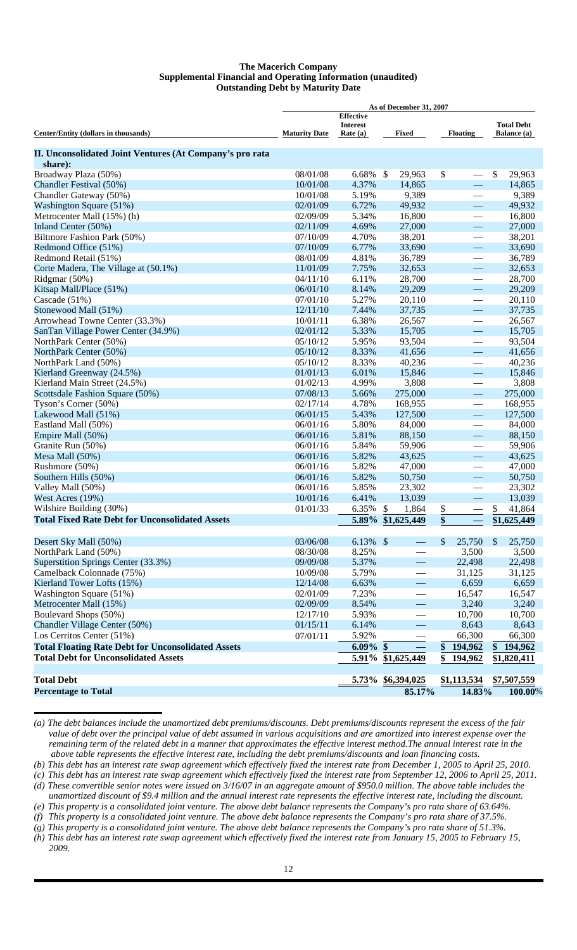### **The Macerich Company Supplemental Financial and Operating Information (unaudited) Outstanding Debt by Maturity Date**

|                                                           | As of December 31, 2007 |                               |                          |                          |                                         |  |  |  |  |  |  |  |
|-----------------------------------------------------------|-------------------------|-------------------------------|--------------------------|--------------------------|-----------------------------------------|--|--|--|--|--|--|--|
|                                                           |                         | <b>Effective</b>              |                          |                          |                                         |  |  |  |  |  |  |  |
| Center/Entity (dollars in thousands)                      | <b>Maturity Date</b>    | <b>Interest</b><br>Rate $(a)$ | Fixed                    | <b>Floating</b>          | <b>Total Debt</b><br><b>Balance</b> (a) |  |  |  |  |  |  |  |
|                                                           |                         |                               |                          |                          |                                         |  |  |  |  |  |  |  |
| II. Unconsolidated Joint Ventures (At Company's pro rata  |                         |                               |                          |                          |                                         |  |  |  |  |  |  |  |
| share):                                                   |                         |                               |                          |                          |                                         |  |  |  |  |  |  |  |
| Broadway Plaza (50%)                                      | 08/01/08                | 6.68%                         | -\$<br>29,963            | \$                       | \$<br>29,963                            |  |  |  |  |  |  |  |
| Chandler Festival (50%)                                   | 10/01/08                | 4.37%                         | 14,865                   | $\equiv$                 | 14,865                                  |  |  |  |  |  |  |  |
| Chandler Gateway (50%)                                    | 10/01/08                | 5.19%                         | 9,389                    | $\overline{\phantom{0}}$ | 9,389                                   |  |  |  |  |  |  |  |
| Washington Square (51%)                                   | 02/01/09                | 6.72%                         | 49,932                   | $\equiv$                 | 49,932                                  |  |  |  |  |  |  |  |
| Metrocenter Mall (15%) (h)                                | 02/09/09                | 5.34%                         | 16,800                   |                          | 16,800                                  |  |  |  |  |  |  |  |
| Inland Center (50%)                                       | 02/11/09                | 4.69%                         | 27,000                   | $\overline{\phantom{0}}$ | 27,000                                  |  |  |  |  |  |  |  |
| Biltmore Fashion Park (50%)                               | 07/10/09                | 4.70%                         | 38,201                   |                          | 38,201                                  |  |  |  |  |  |  |  |
| Redmond Office (51%)                                      | 07/10/09                | 6.77%                         | 33,690                   | $\overline{\phantom{0}}$ | 33,690                                  |  |  |  |  |  |  |  |
| Redmond Retail (51%)                                      | 08/01/09                | 4.81%                         | 36,789                   |                          | 36,789                                  |  |  |  |  |  |  |  |
| Corte Madera, The Village at (50.1%)                      | 11/01/09                | 7.75%                         | 32,653                   | $\equiv$                 | 32,653                                  |  |  |  |  |  |  |  |
| Ridgmar (50%)                                             | 04/11/10                | 6.11%                         | 28,700                   |                          | 28,700                                  |  |  |  |  |  |  |  |
| Kitsap Mall/Place (51%)                                   | 06/01/10                | 8.14%                         | 29,209                   | $\overline{\phantom{0}}$ | 29,209                                  |  |  |  |  |  |  |  |
| Cascade (51%)                                             | 07/01/10                | 5.27%                         | 20,110                   |                          | 20,110                                  |  |  |  |  |  |  |  |
| Stonewood Mall (51%)                                      | 12/11/10                | 7.44%                         | 37,735                   | $\overline{\phantom{0}}$ | 37,735                                  |  |  |  |  |  |  |  |
| Arrowhead Towne Center (33.3%)                            | 10/01/11                | 6.38%                         | 26,567                   |                          | 26,567                                  |  |  |  |  |  |  |  |
| SanTan Village Power Center (34.9%)                       | 02/01/12                | 5.33%                         | 15,705                   | $\overline{\phantom{0}}$ | 15,705                                  |  |  |  |  |  |  |  |
| NorthPark Center (50%)                                    | 05/10/12                | 5.95%                         | 93,504                   |                          | 93,504                                  |  |  |  |  |  |  |  |
| NorthPark Center (50%)                                    | 05/10/12                | 8.33%                         | 41,656                   | $\frac{1}{2}$            | 41,656                                  |  |  |  |  |  |  |  |
| NorthPark Land (50%)                                      | 05/10/12                | 8.33%                         | 40,236                   |                          | 40,236                                  |  |  |  |  |  |  |  |
| Kierland Greenway (24.5%)                                 | 01/01/13                | 6.01%                         | 15,846                   | $\frac{1}{2}$            | 15,846                                  |  |  |  |  |  |  |  |
| Kierland Main Street (24.5%)                              | 01/02/13                | 4.99%                         | 3,808                    |                          | 3,808                                   |  |  |  |  |  |  |  |
| Scottsdale Fashion Square (50%)                           | 07/08/13                | 5.66%                         | 275,000                  |                          | 275,000                                 |  |  |  |  |  |  |  |
| Tyson's Corner (50%)                                      | 02/17/14                | 4.78%                         | 168,955                  |                          | 168,955                                 |  |  |  |  |  |  |  |
| Lakewood Mall (51%)                                       | 06/01/15                | 5.43%                         | 127,500                  | $\frac{1}{2}$            | 127,500                                 |  |  |  |  |  |  |  |
| Eastland Mall (50%)                                       | 06/01/16                | 5.80%                         | 84,000                   |                          | 84,000                                  |  |  |  |  |  |  |  |
| Empire Mall (50%)                                         | 06/01/16                | 5.81%                         | 88,150                   | $\overline{\phantom{0}}$ | 88,150                                  |  |  |  |  |  |  |  |
| Granite Run (50%)                                         | 06/01/16                | 5.84%                         | 59,906                   |                          | 59,906                                  |  |  |  |  |  |  |  |
| Mesa Mall (50%)                                           | 06/01/16                | 5.82%                         | 43,625                   |                          | 43,625                                  |  |  |  |  |  |  |  |
| Rushmore (50%)                                            | 06/01/16                | 5.82%                         | 47,000                   | $\overline{\phantom{0}}$ | 47,000                                  |  |  |  |  |  |  |  |
| Southern Hills (50%)                                      | 06/01/16                | 5.82%                         | 50,750                   | $\equiv$                 | 50,750                                  |  |  |  |  |  |  |  |
| Valley Mall (50%)                                         | 06/01/16                | 5.85%                         | 23,302                   | $\overline{\phantom{0}}$ | 23,302                                  |  |  |  |  |  |  |  |
| West Acres (19%)                                          | 10/01/16                | 6.41%                         | 13,039                   | $\overline{\phantom{0}}$ | 13,039                                  |  |  |  |  |  |  |  |
| Wilshire Building (30%)                                   | 01/01/33                | 6.35%                         | 1,864<br>\$              | \$                       | \$<br>41,864                            |  |  |  |  |  |  |  |
| <b>Total Fixed Rate Debt for Unconsolidated Assets</b>    |                         | 5.89%                         | \$1,625,449              | $\overline{\$}$          | \$1,625,449                             |  |  |  |  |  |  |  |
|                                                           |                         |                               |                          |                          |                                         |  |  |  |  |  |  |  |
| Desert Sky Mall (50%)                                     | 03/06/08                | 6.13% \$                      |                          | \$<br>25,750             | $\mathbb{S}$<br>25,750                  |  |  |  |  |  |  |  |
| NorthPark Land (50%)                                      | 08/30/08                | 8.25%                         |                          | 3,500                    | 3,500                                   |  |  |  |  |  |  |  |
| Superstition Springs Center (33.3%)                       | 09/09/08                | 5.37%                         |                          | 22,498                   | 22,498                                  |  |  |  |  |  |  |  |
| Camelback Colonnade (75%)                                 | 10/09/08                | 5.79%                         | $\overline{\phantom{0}}$ | 31,125                   | 31,125                                  |  |  |  |  |  |  |  |
| Kierland Tower Lofts (15%)                                | 12/14/08                | 6.63%                         | $\overline{\phantom{0}}$ | 6,659                    | 6,659                                   |  |  |  |  |  |  |  |
| Washington Square (51%)                                   | 02/01/09<br>02/09/09    | 7.23%                         |                          | 16,547                   | 16,547                                  |  |  |  |  |  |  |  |
| Metrocenter Mall (15%)                                    |                         | 8.54%                         | -                        | 3,240                    | 3,240                                   |  |  |  |  |  |  |  |
| Boulevard Shops (50%)                                     | 12/17/10                | 5.93%                         | $\overline{\phantom{0}}$ | 10,700                   | 10,700                                  |  |  |  |  |  |  |  |
| Chandler Village Center (50%)                             | 01/15/11                | 6.14%                         | $\overline{\phantom{0}}$ | 8,643                    | 8,643                                   |  |  |  |  |  |  |  |
| Los Cerritos Center (51%)                                 | 07/01/11                | 5.92%                         |                          | 66,300                   | 66,300                                  |  |  |  |  |  |  |  |
| <b>Total Floating Rate Debt for Unconsolidated Assets</b> |                         | $6.09\%$ \$                   |                          | \$<br>194,962            | \$194,962                               |  |  |  |  |  |  |  |
| <b>Total Debt for Unconsolidated Assets</b>               |                         | 5.91%                         | \$1,625,449              | \$<br>194,962            | \$1,820,411                             |  |  |  |  |  |  |  |
| <b>Total Debt</b>                                         |                         |                               | 5.73% \$6,394,025        | \$1,113,534              | \$7,507,559                             |  |  |  |  |  |  |  |
| <b>Percentage to Total</b>                                |                         |                               | 85.17%                   | 14.83%                   | 100.00%                                 |  |  |  |  |  |  |  |
|                                                           |                         |                               |                          |                          |                                         |  |  |  |  |  |  |  |

*<sup>(</sup>a) The debt balances include the unamortized debt premiums/discounts. Debt premiums/discounts represent the excess of the fair value of debt over the principal value of debt assumed in various acquisitions and are amortized into interest expense over the remaining term of the related debt in a manner that approximates the effective interest method.The annual interest rate in the above table represents the effective interest rate, including the debt premiums/discounts and loan financing costs.*

*<sup>(</sup>b) This debt has an interest rate swap agreement which effectively fixed the interest rate from December 1, 2005 to April 25, 2010.*

*<sup>(</sup>c) This debt has an interest rate swap agreement which effectively fixed the interest rate from September 12, 2006 to April 25, 2011. (d) These convertible senior notes were issued on 3/16/07 in an aggregate amount of \$950.0 million. The above table includes the* 

*unamortized discount of \$9.4 million and the annual interest rate represents the effective interest rate, including the discount.*

*<sup>(</sup>e) This property is a consolidated joint venture. The above debt balance represents the Company's pro rata share of 63.64%.*

*<sup>(</sup>f) This property is a consolidated joint venture. The above debt balance represents the Company's pro rata share of 37.5%. (g) This property is a consolidated joint venture. The above debt balance represents the Company's pro rata share of 51.3%.*

*<sup>(</sup>h) This debt has an interest rate swap agreement which effectively fixed the interest rate from January 15, 2005 to February 15, 2009.*